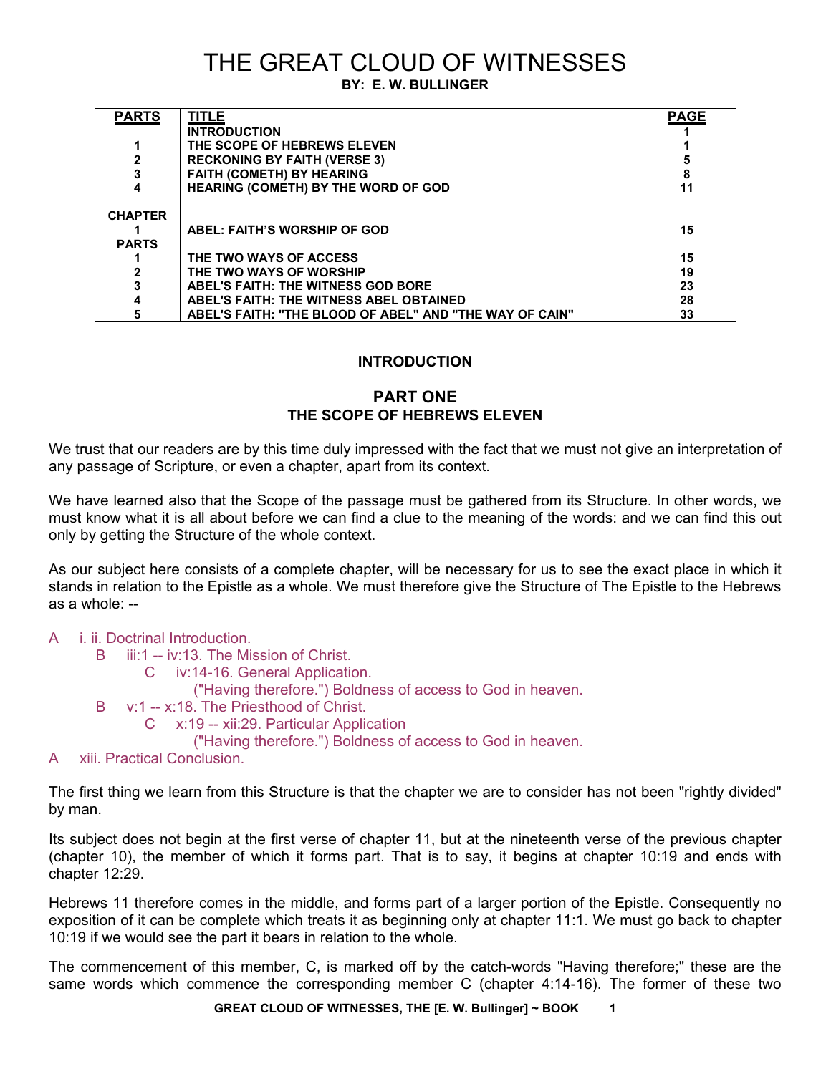# THE GREAT CLOUD OF WITNESSES

**BY: E. W. BULLINGER** 

| <b>PARTS</b>   | TITLE                                                   | <b>PAGE</b> |
|----------------|---------------------------------------------------------|-------------|
|                | <b>INTRODUCTION</b>                                     |             |
|                | THE SCOPE OF HEBREWS ELEVEN                             |             |
| 2              | <b>RECKONING BY FAITH (VERSE 3)</b>                     |             |
| 3              | <b>FAITH (COMETH) BY HEARING</b>                        |             |
| 4              | <b>HEARING (COMETH) BY THE WORD OF GOD</b>              |             |
|                |                                                         |             |
| <b>CHAPTER</b> |                                                         |             |
|                | ABEL: FAITH'S WORSHIP OF GOD                            | 15          |
| <b>PARTS</b>   |                                                         |             |
|                | THE TWO WAYS OF ACCESS                                  | 15          |
|                | THE TWO WAYS OF WORSHIP                                 | 19          |
|                | <b>ABEL'S FAITH: THE WITNESS GOD BORE</b>               | 23          |
|                | ABEL'S FAITH: THE WITNESS ABEL OBTAINED                 | 28          |
| 5              | ABEL'S FAITH: "THE BLOOD OF ABEL" AND "THE WAY OF CAIN" | 33          |

# **INTRODUCTION**

## **PART ONE THE SCOPE OF HEBREWS ELEVEN**

We trust that our readers are by this time duly impressed with the fact that we must not give an interpretation of any passage of Scripture, or even a chapter, apart from its context.

We have learned also that the Scope of the passage must be gathered from its Structure. In other words, we must know what it is all about before we can find a clue to the meaning of the words: and we can find this out only by getting the Structure of the whole context.

As our subject here consists of a complete chapter, will be necessary for us to see the exact place in which it stands in relation to the Epistle as a whole. We must therefore give the Structure of The Epistle to the Hebrews as a whole: --

## A i. ii. Doctrinal Introduction.

- B iii:1 -- iv:13. The Mission of Christ.
	- C iv:14-16. General Application.
		- ("Having therefore.") Boldness of access to God in heaven.
- B v:1 -- x:18. The Priesthood of Christ.
	- C x:19 -- xii:29. Particular Application
		- ("Having therefore.") Boldness of access to God in heaven.
- A xiii. Practical Conclusion.

The first thing we learn from this Structure is that the chapter we are to consider has not been "rightly divided" by man.

Its subject does not begin at the first verse of chapter 11, but at the nineteenth verse of the previous chapter (chapter 10), the member of which it forms part. That is to say, it begins at chapter 10:19 and ends with chapter 12:29.

Hebrews 11 therefore comes in the middle, and forms part of a larger portion of the Epistle. Consequently no exposition of it can be complete which treats it as beginning only at chapter 11:1. We must go back to chapter 10:19 if we would see the part it bears in relation to the whole.

The commencement of this member, C, is marked off by the catch-words "Having therefore;" these are the same words which commence the corresponding member C (chapter 4:14-16). The former of these two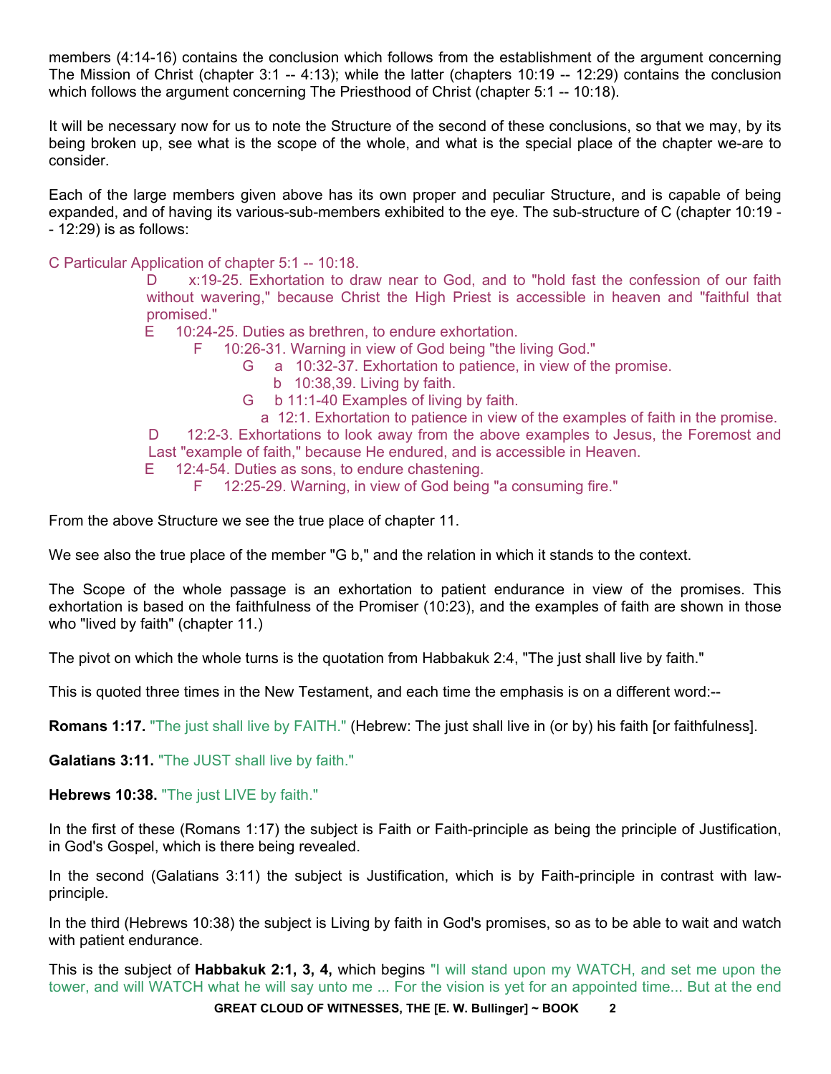members (4:14-16) contains the conclusion which follows from the establishment of the argument concerning The Mission of Christ (chapter 3:1 -- 4:13); while the latter (chapters 10:19 -- 12:29) contains the conclusion which follows the argument concerning The Priesthood of Christ (chapter 5:1 -- 10:18).

It will be necessary now for us to note the Structure of the second of these conclusions, so that we may, by its being broken up, see what is the scope of the whole, and what is the special place of the chapter we-are to consider.

Each of the large members given above has its own proper and peculiar Structure, and is capable of being expanded, and of having its various-sub-members exhibited to the eye. The sub-structure of C (chapter 10:19 - - 12:29) is as follows:

C Particular Application of chapter 5:1 -- 10:18.

D x:19-25. Exhortation to draw near to God, and to "hold fast the confession of our faith without wavering," because Christ the High Priest is accessible in heaven and "faithful that promised."

- E 10:24-25. Duties as brethren, to endure exhortation.
	- F 10:26-31. Warning in view of God being "the living God."
		- G a 10:32-37. Exhortation to patience, in view of the promise.
			- b 10:38,39. Living by faith.
		- G b 11:1-40 Examples of living by faith.

 a 12:1. Exhortation to patience in view of the examples of faith in the promise. D 12:2-3. Exhortations to look away from the above examples to Jesus, the Foremost and Last "example of faith," because He endured, and is accessible in Heaven.

- E 12:4-54. Duties as sons, to endure chastening.
	- F 12:25-29. Warning, in view of God being "a consuming fire."

From the above Structure we see the true place of chapter 11.

We see also the true place of the member "G b," and the relation in which it stands to the context.

The Scope of the whole passage is an exhortation to patient endurance in view of the promises. This exhortation is based on the faithfulness of the Promiser (10:23), and the examples of faith are shown in those who "lived by faith" (chapter 11.)

The pivot on which the whole turns is the quotation from Habbakuk 2:4, "The just shall live by faith."

This is quoted three times in the New Testament, and each time the emphasis is on a different word:--

**Romans 1:17.** "The just shall live by FAITH." (Hebrew: The just shall live in (or by) his faith [or faithfulness].

**Galatians 3:11.** "The JUST shall live by faith."

**Hebrews 10:38.** "The just LIVE by faith."

In the first of these (Romans 1:17) the subject is Faith or Faith-principle as being the principle of Justification, in God's Gospel, which is there being revealed.

In the second (Galatians 3:11) the subject is Justification, which is by Faith-principle in contrast with lawprinciple.

In the third (Hebrews 10:38) the subject is Living by faith in God's promises, so as to be able to wait and watch with patient endurance.

This is the subject of **Habbakuk 2:1, 3, 4,** which begins "I will stand upon my WATCH, and set me upon the tower, and will WATCH what he will say unto me ... For the vision is yet for an appointed time... But at the end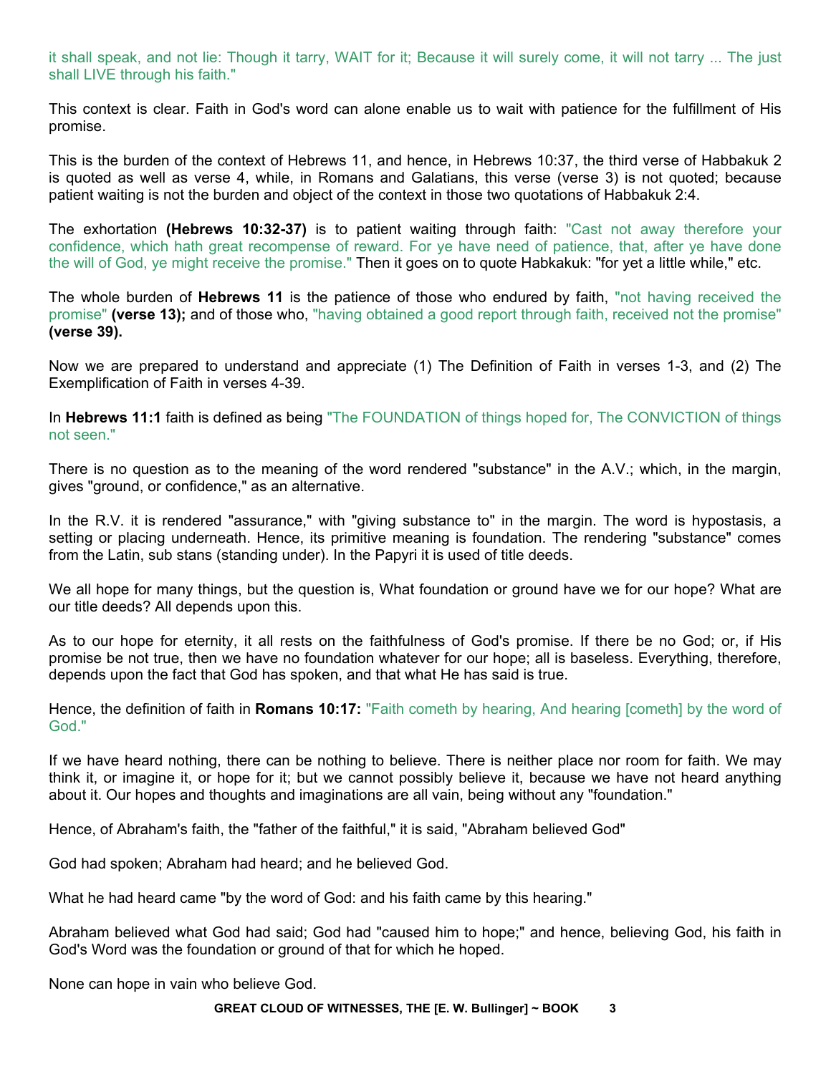it shall speak, and not lie: Though it tarry, WAIT for it; Because it will surely come, it will not tarry ... The just shall LIVE through his faith."

This context is clear. Faith in God's word can alone enable us to wait with patience for the fulfillment of His promise.

This is the burden of the context of Hebrews 11, and hence, in Hebrews 10:37, the third verse of Habbakuk 2 is quoted as well as verse 4, while, in Romans and Galatians, this verse (verse 3) is not quoted; because patient waiting is not the burden and object of the context in those two quotations of Habbakuk 2:4.

The exhortation **(Hebrews 10:32-37)** is to patient waiting through faith: "Cast not away therefore your confidence, which hath great recompense of reward. For ye have need of patience, that, after ye have done the will of God, ye might receive the promise." Then it goes on to quote Habkakuk: "for yet a little while," etc.

The whole burden of **Hebrews 11** is the patience of those who endured by faith, "not having received the promise" **(verse 13);** and of those who, "having obtained a good report through faith, received not the promise" **(verse 39).** 

Now we are prepared to understand and appreciate (1) The Definition of Faith in verses 1-3, and (2) The Exemplification of Faith in verses 4-39.

In **Hebrews 11:1** faith is defined as being "The FOUNDATION of things hoped for, The CONVICTION of things not seen."

There is no question as to the meaning of the word rendered "substance" in the A.V.; which, in the margin, gives "ground, or confidence," as an alternative.

In the R.V. it is rendered "assurance," with "giving substance to" in the margin. The word is hypostasis, a setting or placing underneath. Hence, its primitive meaning is foundation. The rendering "substance" comes from the Latin, sub stans (standing under). In the Papyri it is used of title deeds.

We all hope for many things, but the question is, What foundation or ground have we for our hope? What are our title deeds? All depends upon this.

As to our hope for eternity, it all rests on the faithfulness of God's promise. If there be no God; or, if His promise be not true, then we have no foundation whatever for our hope; all is baseless. Everything, therefore, depends upon the fact that God has spoken, and that what He has said is true.

Hence, the definition of faith in **Romans 10:17:** "Faith cometh by hearing, And hearing [cometh] by the word of God."

If we have heard nothing, there can be nothing to believe. There is neither place nor room for faith. We may think it, or imagine it, or hope for it; but we cannot possibly believe it, because we have not heard anything about it. Our hopes and thoughts and imaginations are all vain, being without any "foundation."

Hence, of Abraham's faith, the "father of the faithful," it is said, "Abraham believed God"

God had spoken; Abraham had heard; and he believed God.

What he had heard came "by the word of God: and his faith came by this hearing."

Abraham believed what God had said; God had "caused him to hope;" and hence, believing God, his faith in God's Word was the foundation or ground of that for which he hoped.

None can hope in vain who believe God.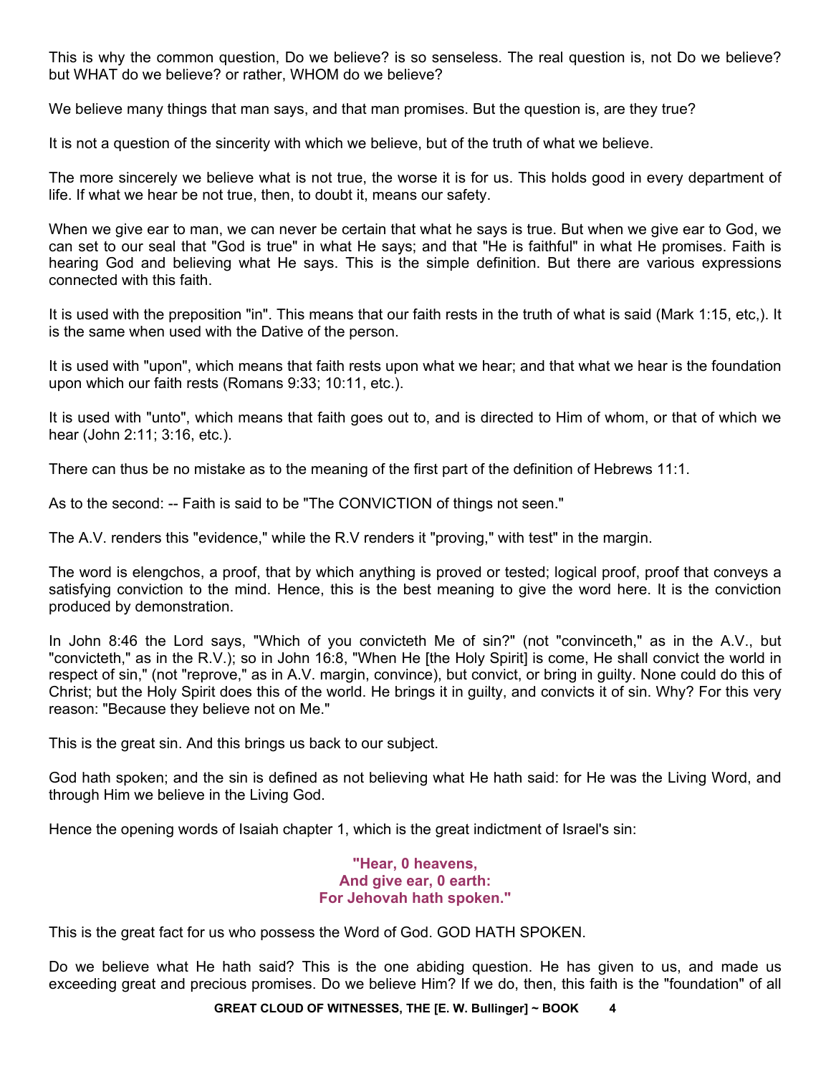This is why the common question, Do we believe? is so senseless. The real question is, not Do we believe? but WHAT do we believe? or rather, WHOM do we believe?

We believe many things that man says, and that man promises. But the question is, are they true?

It is not a question of the sincerity with which we believe, but of the truth of what we believe.

The more sincerely we believe what is not true, the worse it is for us. This holds good in every department of life. If what we hear be not true, then, to doubt it, means our safety.

When we give ear to man, we can never be certain that what he says is true. But when we give ear to God, we can set to our seal that "God is true" in what He says; and that "He is faithful" in what He promises. Faith is hearing God and believing what He says. This is the simple definition. But there are various expressions connected with this faith.

It is used with the preposition "in". This means that our faith rests in the truth of what is said (Mark 1:15, etc,). It is the same when used with the Dative of the person.

It is used with "upon", which means that faith rests upon what we hear; and that what we hear is the foundation upon which our faith rests (Romans 9:33; 10:11, etc.).

It is used with "unto", which means that faith goes out to, and is directed to Him of whom, or that of which we hear (John 2:11; 3:16, etc.).

There can thus be no mistake as to the meaning of the first part of the definition of Hebrews 11:1.

As to the second: -- Faith is said to be "The CONVICTION of things not seen."

The A.V. renders this "evidence," while the R.V renders it "proving," with test" in the margin.

The word is elengchos, a proof, that by which anything is proved or tested; logical proof, proof that conveys a satisfying conviction to the mind. Hence, this is the best meaning to give the word here. It is the conviction produced by demonstration.

In John 8:46 the Lord says, "Which of you convicteth Me of sin?" (not "convinceth," as in the A.V., but "convicteth," as in the R.V.); so in John 16:8, "When He [the Holy Spirit] is come, He shall convict the world in respect of sin," (not "reprove," as in A.V. margin, convince), but convict, or bring in guilty. None could do this of Christ; but the Holy Spirit does this of the world. He brings it in guilty, and convicts it of sin. Why? For this very reason: "Because they believe not on Me."

This is the great sin. And this brings us back to our subject.

God hath spoken; and the sin is defined as not believing what He hath said: for He was the Living Word, and through Him we believe in the Living God.

Hence the opening words of Isaiah chapter 1, which is the great indictment of Israel's sin:

**"Hear, 0 heavens, And give ear, 0 earth: For Jehovah hath spoken."** 

This is the great fact for us who possess the Word of God. GOD HATH SPOKEN.

Do we believe what He hath said? This is the one abiding question. He has given to us, and made us exceeding great and precious promises. Do we believe Him? If we do, then, this faith is the "foundation" of all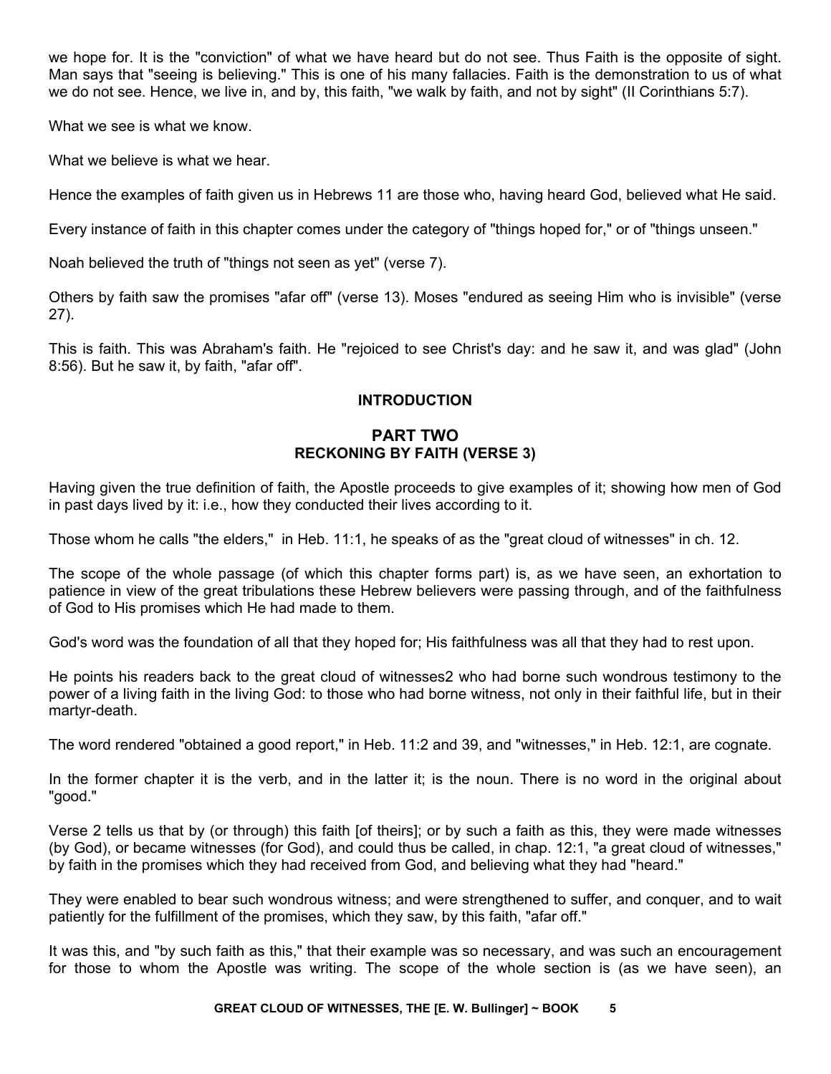we hope for. It is the "conviction" of what we have heard but do not see. Thus Faith is the opposite of sight. Man says that "seeing is believing." This is one of his many fallacies. Faith is the demonstration to us of what we do not see. Hence, we live in, and by, this faith, "we walk by faith, and not by sight" (II Corinthians 5:7).

What we see is what we know.

What we believe is what we hear.

Hence the examples of faith given us in Hebrews 11 are those who, having heard God, believed what He said.

Every instance of faith in this chapter comes under the category of "things hoped for," or of "things unseen."

Noah believed the truth of "things not seen as yet" (verse 7).

Others by faith saw the promises "afar off" (verse 13). Moses "endured as seeing Him who is invisible" (verse 27).

This is faith. This was Abraham's faith. He "rejoiced to see Christ's day: and he saw it, and was glad" (John 8:56). But he saw it, by faith, "afar off".

#### **INTRODUCTION**

# **PART TWO RECKONING BY FAITH (VERSE 3)**

Having given the true definition of faith, the Apostle proceeds to give examples of it; showing how men of God in past days lived by it: i.e., how they conducted their lives according to it.

Those whom he calls "the elders," in Heb. 11:1, he speaks of as the "great cloud of witnesses" in ch. 12.

The scope of the whole passage (of which this chapter forms part) is, as we have seen, an exhortation to patience in view of the great tribulations these Hebrew believers were passing through, and of the faithfulness of God to His promises which He had made to them.

God's word was the foundation of all that they hoped for; His faithfulness was all that they had to rest upon.

He points his readers back to the great cloud of witnesses2 who had borne such wondrous testimony to the power of a living faith in the living God: to those who had borne witness, not only in their faithful life, but in their martyr-death.

The word rendered "obtained a good report," in Heb. 11:2 and 39, and "witnesses," in Heb. 12:1, are cognate.

In the former chapter it is the verb, and in the latter it; is the noun. There is no word in the original about "good."

Verse 2 tells us that by (or through) this faith [of theirs]; or by such a faith as this, they were made witnesses (by God), or became witnesses (for God), and could thus be called, in chap. 12:1, "a great cloud of witnesses," by faith in the promises which they had received from God, and believing what they had "heard."

They were enabled to bear such wondrous witness; and were strengthened to suffer, and conquer, and to wait patiently for the fulfillment of the promises, which they saw, by this faith, "afar off."

It was this, and "by such faith as this," that their example was so necessary, and was such an encouragement for those to whom the Apostle was writing. The scope of the whole section is (as we have seen), an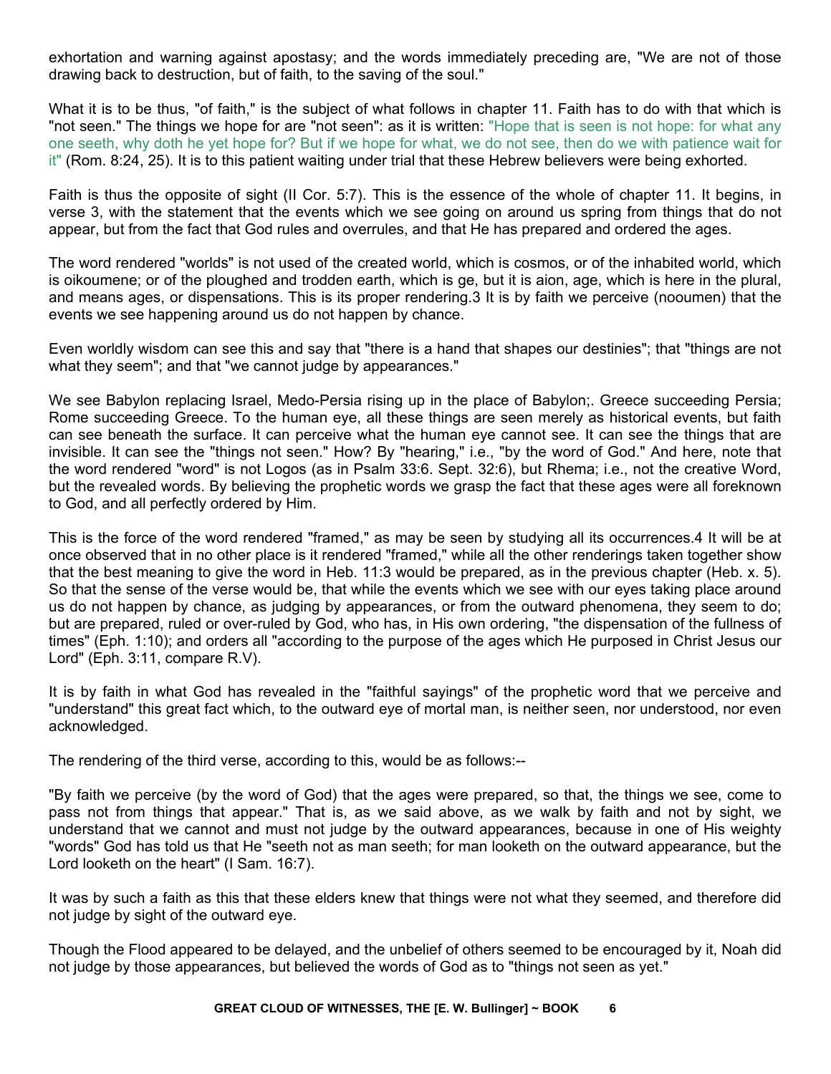exhortation and warning against apostasy; and the words immediately preceding are, "We are not of those drawing back to destruction, but of faith, to the saving of the soul."

What it is to be thus, "of faith," is the subject of what follows in chapter 11. Faith has to do with that which is "not seen." The things we hope for are "not seen": as it is written: "Hope that is seen is not hope: for what any one seeth, why doth he yet hope for? But if we hope for what, we do not see, then do we with patience wait for it" (Rom. 8:24, 25). It is to this patient waiting under trial that these Hebrew believers were being exhorted.

Faith is thus the opposite of sight (II Cor. 5:7). This is the essence of the whole of chapter 11. It begins, in verse 3, with the statement that the events which we see going on around us spring from things that do not appear, but from the fact that God rules and overrules, and that He has prepared and ordered the ages.

The word rendered "worlds" is not used of the created world, which is cosmos, or of the inhabited world, which is oikoumene; or of the ploughed and trodden earth, which is ge, but it is aion, age, which is here in the plural, and means ages, or dispensations. This is its proper rendering.3 It is by faith we perceive (nooumen) that the events we see happening around us do not happen by chance.

Even worldly wisdom can see this and say that "there is a hand that shapes our destinies"; that "things are not what they seem"; and that "we cannot judge by appearances."

We see Babylon replacing Israel, Medo-Persia rising up in the place of Babylon;. Greece succeeding Persia; Rome succeeding Greece. To the human eye, all these things are seen merely as historical events, but faith can see beneath the surface. It can perceive what the human eye cannot see. It can see the things that are invisible. It can see the "things not seen." How? By "hearing," i.e., "by the word of God." And here, note that the word rendered "word" is not Logos (as in Psalm 33:6. Sept. 32:6), but Rhema; i.e., not the creative Word, but the revealed words. By believing the prophetic words we grasp the fact that these ages were all foreknown to God, and all perfectly ordered by Him.

This is the force of the word rendered "framed," as may be seen by studying all its occurrences.4 It will be at once observed that in no other place is it rendered "framed," while all the other renderings taken together show that the best meaning to give the word in Heb. 11:3 would be prepared, as in the previous chapter (Heb. x. 5). So that the sense of the verse would be, that while the events which we see with our eyes taking place around us do not happen by chance, as judging by appearances, or from the outward phenomena, they seem to do; but are prepared, ruled or over-ruled by God, who has, in His own ordering, "the dispensation of the fullness of times" (Eph. 1:10); and orders all "according to the purpose of the ages which He purposed in Christ Jesus our Lord" (Eph. 3:11, compare R.V).

It is by faith in what God has revealed in the "faithful sayings" of the prophetic word that we perceive and "understand" this great fact which, to the outward eye of mortal man, is neither seen, nor understood, nor even acknowledged.

The rendering of the third verse, according to this, would be as follows:--

"By faith we perceive (by the word of God) that the ages were prepared, so that, the things we see, come to pass not from things that appear." That is, as we said above, as we walk by faith and not by sight, we understand that we cannot and must not judge by the outward appearances, because in one of His weighty "words" God has told us that He "seeth not as man seeth; for man looketh on the outward appearance, but the Lord looketh on the heart" (I Sam. 16:7).

It was by such a faith as this that these elders knew that things were not what they seemed, and therefore did not judge by sight of the outward eye.

Though the Flood appeared to be delayed, and the unbelief of others seemed to be encouraged by it, Noah did not judge by those appearances, but believed the words of God as to "things not seen as yet."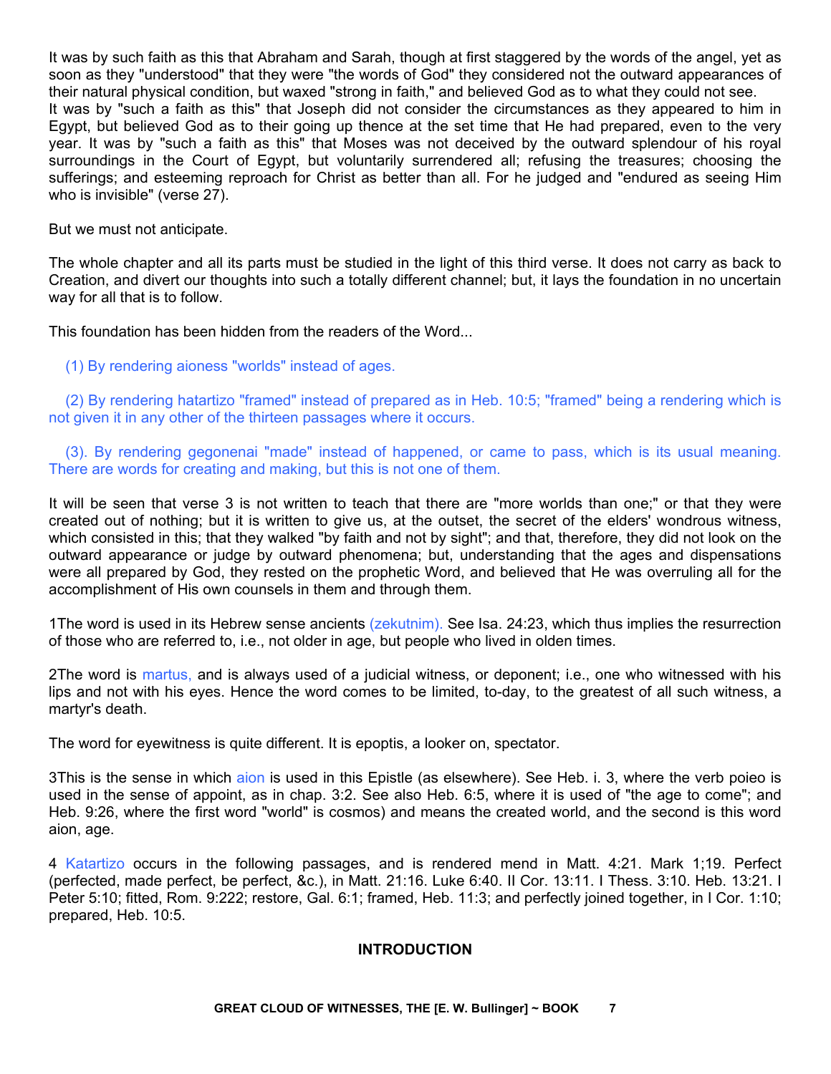It was by such faith as this that Abraham and Sarah, though at first staggered by the words of the angel, yet as soon as they "understood" that they were "the words of God" they considered not the outward appearances of their natural physical condition, but waxed "strong in faith," and believed God as to what they could not see. It was by "such a faith as this" that Joseph did not consider the circumstances as they appeared to him in Egypt, but believed God as to their going up thence at the set time that He had prepared, even to the very year. It was by "such a faith as this" that Moses was not deceived by the outward splendour of his royal surroundings in the Court of Egypt, but voluntarily surrendered all; refusing the treasures; choosing the sufferings; and esteeming reproach for Christ as better than all. For he judged and "endured as seeing Him who is invisible" (verse 27).

But we must not anticipate.

The whole chapter and all its parts must be studied in the light of this third verse. It does not carry as back to Creation, and divert our thoughts into such a totally different channel; but, it lays the foundation in no uncertain way for all that is to follow.

This foundation has been hidden from the readers of the Word...

(1) By rendering aioness "worlds" instead of ages.

 (2) By rendering hatartizo "framed" instead of prepared as in Heb. 10:5; "framed" being a rendering which is not given it in any other of the thirteen passages where it occurs.

 (3). By rendering gegonenai "made" instead of happened, or came to pass, which is its usual meaning. There are words for creating and making, but this is not one of them.

It will be seen that verse 3 is not written to teach that there are "more worlds than one;" or that they were created out of nothing; but it is written to give us, at the outset, the secret of the elders' wondrous witness, which consisted in this; that they walked "by faith and not by sight"; and that, therefore, they did not look on the outward appearance or judge by outward phenomena; but, understanding that the ages and dispensations were all prepared by God, they rested on the prophetic Word, and believed that He was overruling all for the accomplishment of His own counsels in them and through them.

1The word is used in its Hebrew sense ancients (zekutnim). See Isa. 24:23, which thus implies the resurrection of those who are referred to, i.e., not older in age, but people who lived in olden times.

2The word is martus, and is always used of a judicial witness, or deponent; i.e., one who witnessed with his lips and not with his eyes. Hence the word comes to be limited, to-day, to the greatest of all such witness, a martyr's death.

The word for eyewitness is quite different. It is epoptis, a looker on, spectator.

3This is the sense in which aion is used in this Epistle (as elsewhere). See Heb. i. 3, where the verb poieo is used in the sense of appoint, as in chap. 3:2. See also Heb. 6:5, where it is used of "the age to come"; and Heb. 9:26, where the first word "world" is cosmos) and means the created world, and the second is this word aion, age.

4 Katartizo occurs in the following passages, and is rendered mend in Matt. 4:21. Mark 1;19. Perfect (perfected, made perfect, be perfect, &c.), in Matt. 21:16. Luke 6:40. II Cor. 13:11. I Thess. 3:10. Heb. 13:21. I Peter 5:10; fitted, Rom. 9:222; restore, Gal. 6:1; framed, Heb. 11:3; and perfectly joined together, in I Cor. 1:10; prepared, Heb. 10:5.

#### **INTRODUCTION**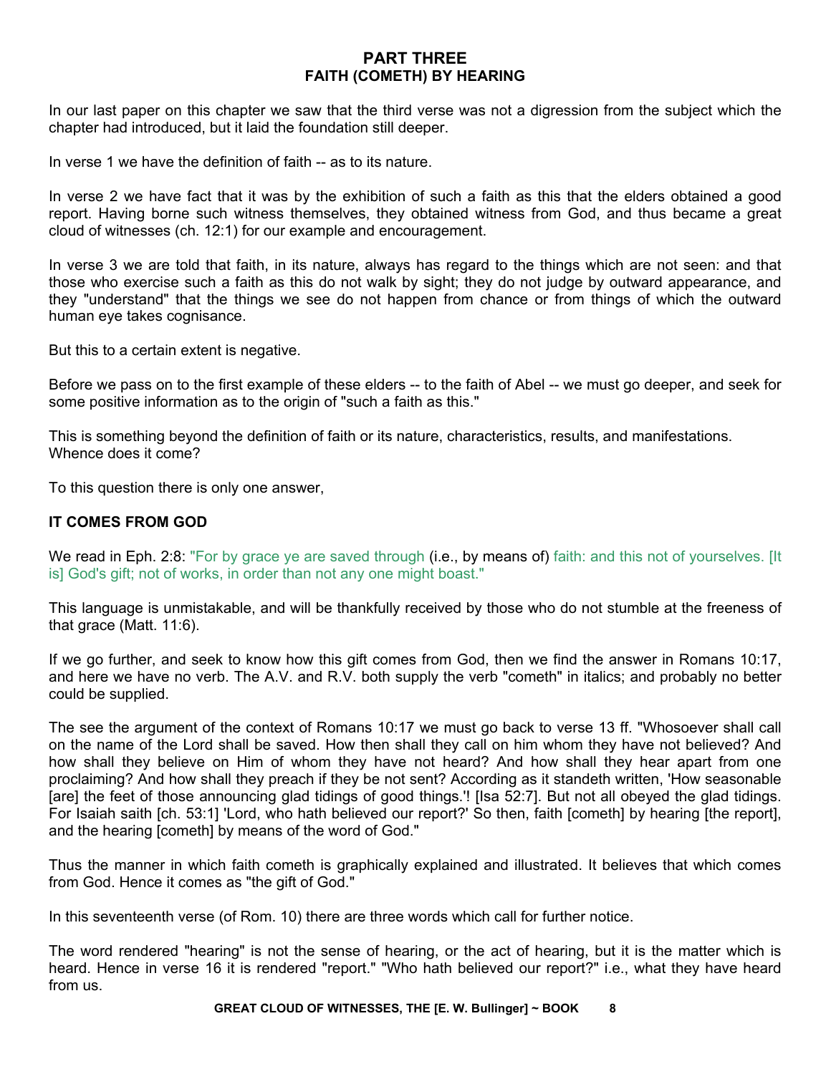# **PART THREE FAITH (COMETH) BY HEARING**

In our last paper on this chapter we saw that the third verse was not a digression from the subject which the chapter had introduced, but it laid the foundation still deeper.

In verse 1 we have the definition of faith -- as to its nature.

In verse 2 we have fact that it was by the exhibition of such a faith as this that the elders obtained a good report. Having borne such witness themselves, they obtained witness from God, and thus became a great cloud of witnesses (ch. 12:1) for our example and encouragement.

In verse 3 we are told that faith, in its nature, always has regard to the things which are not seen: and that those who exercise such a faith as this do not walk by sight; they do not judge by outward appearance, and they "understand" that the things we see do not happen from chance or from things of which the outward human eye takes cognisance.

But this to a certain extent is negative.

Before we pass on to the first example of these elders -- to the faith of Abel -- we must go deeper, and seek for some positive information as to the origin of "such a faith as this."

This is something beyond the definition of faith or its nature, characteristics, results, and manifestations. Whence does it come?

To this question there is only one answer,

# **IT COMES FROM GOD**

We read in Eph. 2:8: "For by grace ye are saved through (i.e., by means of) faith: and this not of yourselves. [It is] God's gift; not of works, in order than not any one might boast."

This language is unmistakable, and will be thankfully received by those who do not stumble at the freeness of that grace (Matt. 11:6).

If we go further, and seek to know how this gift comes from God, then we find the answer in Romans 10:17, and here we have no verb. The A.V. and R.V. both supply the verb "cometh" in italics; and probably no better could be supplied.

The see the argument of the context of Romans 10:17 we must go back to verse 13 ff. "Whosoever shall call on the name of the Lord shall be saved. How then shall they call on him whom they have not believed? And how shall they believe on Him of whom they have not heard? And how shall they hear apart from one proclaiming? And how shall they preach if they be not sent? According as it standeth written, 'How seasonable [are] the feet of those announcing glad tidings of good things.'! [Isa 52:7]. But not all obeyed the glad tidings. For Isaiah saith [ch. 53:1] 'Lord, who hath believed our report?' So then, faith [cometh] by hearing [the report], and the hearing [cometh] by means of the word of God."

Thus the manner in which faith cometh is graphically explained and illustrated. It believes that which comes from God. Hence it comes as "the gift of God."

In this seventeenth verse (of Rom. 10) there are three words which call for further notice.

The word rendered "hearing" is not the sense of hearing, or the act of hearing, but it is the matter which is heard. Hence in verse 16 it is rendered "report." "Who hath believed our report?" i.e., what they have heard from us.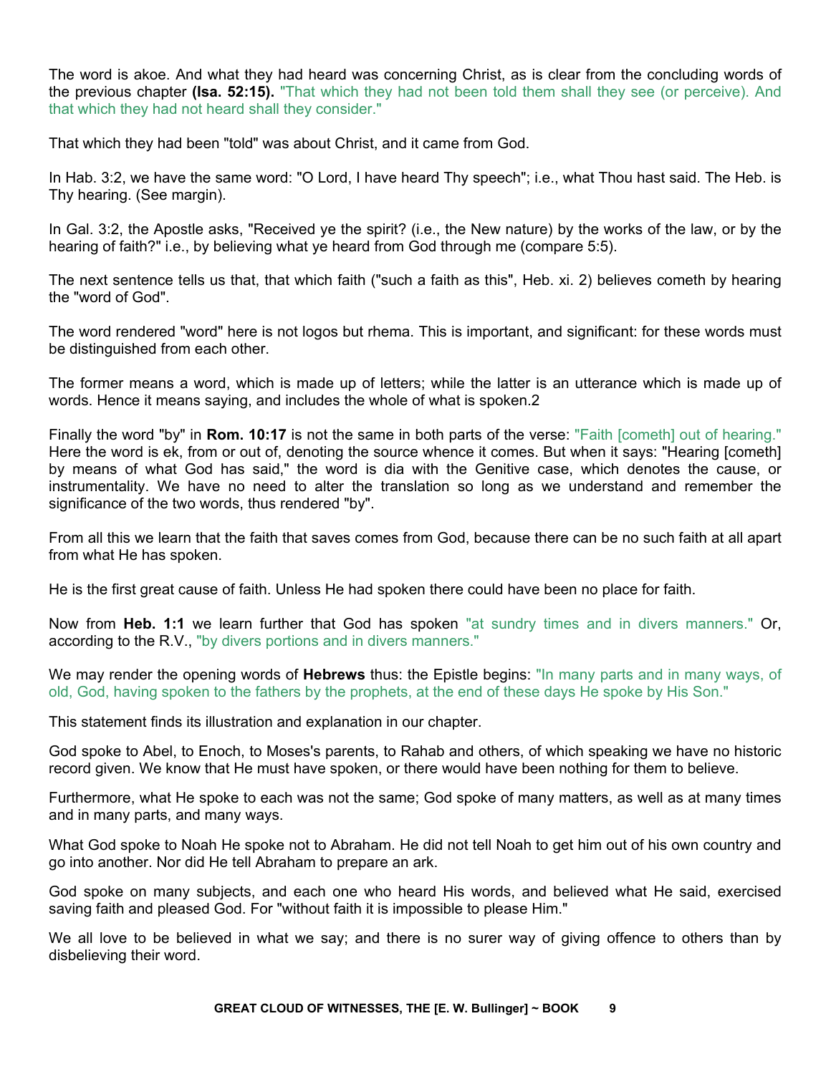The word is akoe. And what they had heard was concerning Christ, as is clear from the concluding words of the previous chapter **(Isa. 52:15).** "That which they had not been told them shall they see (or perceive). And that which they had not heard shall they consider."

That which they had been "told" was about Christ, and it came from God.

In Hab. 3:2, we have the same word: "O Lord, I have heard Thy speech"; i.e., what Thou hast said. The Heb. is Thy hearing. (See margin).

In Gal. 3:2, the Apostle asks, "Received ye the spirit? (i.e., the New nature) by the works of the law, or by the hearing of faith?" i.e., by believing what ye heard from God through me (compare 5:5).

The next sentence tells us that, that which faith ("such a faith as this", Heb. xi. 2) believes cometh by hearing the "word of God".

The word rendered "word" here is not logos but rhema. This is important, and significant: for these words must be distinguished from each other.

The former means a word, which is made up of letters; while the latter is an utterance which is made up of words. Hence it means saying, and includes the whole of what is spoken.2

Finally the word "by" in **Rom. 10:17** is not the same in both parts of the verse: "Faith [cometh] out of hearing." Here the word is ek, from or out of, denoting the source whence it comes. But when it says: "Hearing [cometh] by means of what God has said," the word is dia with the Genitive case, which denotes the cause, or instrumentality. We have no need to alter the translation so long as we understand and remember the significance of the two words, thus rendered "by".

From all this we learn that the faith that saves comes from God, because there can be no such faith at all apart from what He has spoken.

He is the first great cause of faith. Unless He had spoken there could have been no place for faith.

Now from **Heb. 1:1** we learn further that God has spoken "at sundry times and in divers manners." Or, according to the R.V., "by divers portions and in divers manners."

We may render the opening words of **Hebrews** thus: the Epistle begins: "In many parts and in many ways, of old, God, having spoken to the fathers by the prophets, at the end of these days He spoke by His Son."

This statement finds its illustration and explanation in our chapter.

God spoke to Abel, to Enoch, to Moses's parents, to Rahab and others, of which speaking we have no historic record given. We know that He must have spoken, or there would have been nothing for them to believe.

Furthermore, what He spoke to each was not the same; God spoke of many matters, as well as at many times and in many parts, and many ways.

What God spoke to Noah He spoke not to Abraham. He did not tell Noah to get him out of his own country and go into another. Nor did He tell Abraham to prepare an ark.

God spoke on many subjects, and each one who heard His words, and believed what He said, exercised saving faith and pleased God. For "without faith it is impossible to please Him."

We all love to be believed in what we say; and there is no surer way of giving offence to others than by disbelieving their word.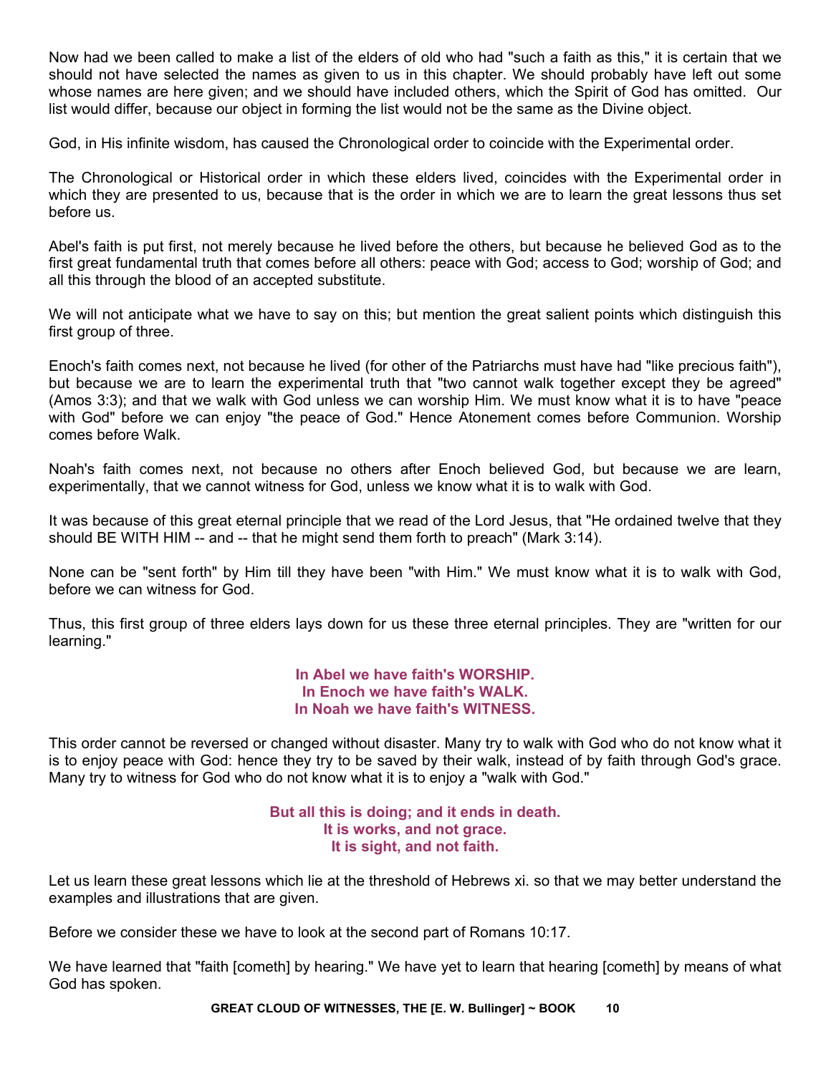Now had we been called to make a list of the elders of old who had "such a faith as this," it is certain that we should not have selected the names as given to us in this chapter. We should probably have left out some whose names are here given; and we should have included others, which the Spirit of God has omitted. Our list would differ, because our object in forming the list would not be the same as the Divine object.

God, in His infinite wisdom, has caused the Chronological order to coincide with the Experimental order.

The Chronological or Historical order in which these elders lived, coincides with the Experimental order in which they are presented to us, because that is the order in which we are to learn the great lessons thus set before us.

Abel's faith is put first, not merely because he lived before the others, but because he believed God as to the first great fundamental truth that comes before all others: peace with God; access to God; worship of God; and all this through the blood of an accepted substitute.

We will not anticipate what we have to say on this; but mention the great salient points which distinguish this first group of three.

Enoch's faith comes next, not because he lived (for other of the Patriarchs must have had "like precious faith"), but because we are to learn the experimental truth that "two cannot walk together except they be agreed" (Amos 3:3); and that we walk with God unless we can worship Him. We must know what it is to have "peace with God" before we can enjoy "the peace of God." Hence Atonement comes before Communion. Worship comes before Walk.

Noah's faith comes next, not because no others after Enoch believed God, but because we are learn, experimentally, that we cannot witness for God, unless we know what it is to walk with God.

It was because of this great eternal principle that we read of the Lord Jesus, that "He ordained twelve that they should BE WITH HIM -- and -- that he might send them forth to preach" (Mark 3:14).

None can be "sent forth" by Him till they have been "with Him." We must know what it is to walk with God, before we can witness for God.

Thus, this first group of three elders lays down for us these three eternal principles. They are "written for our learning."

> **In Abel we have faith's WORSHIP. In Enoch we have faith's WALK. In Noah we have faith's WITNESS.**

This order cannot be reversed or changed without disaster. Many try to walk with God who do not know what it is to enjoy peace with God: hence they try to be saved by their walk, instead of by faith through God's grace. Many try to witness for God who do not know what it is to enjoy a "walk with God."

#### **But all this is doing; and it ends in death. It is works, and not grace. It is sight, and not faith.**

Let us learn these great lessons which lie at the threshold of Hebrews xi. so that we may better understand the examples and illustrations that are given.

Before we consider these we have to look at the second part of Romans 10:17.

We have learned that "faith [cometh] by hearing." We have yet to learn that hearing [cometh] by means of what God has spoken.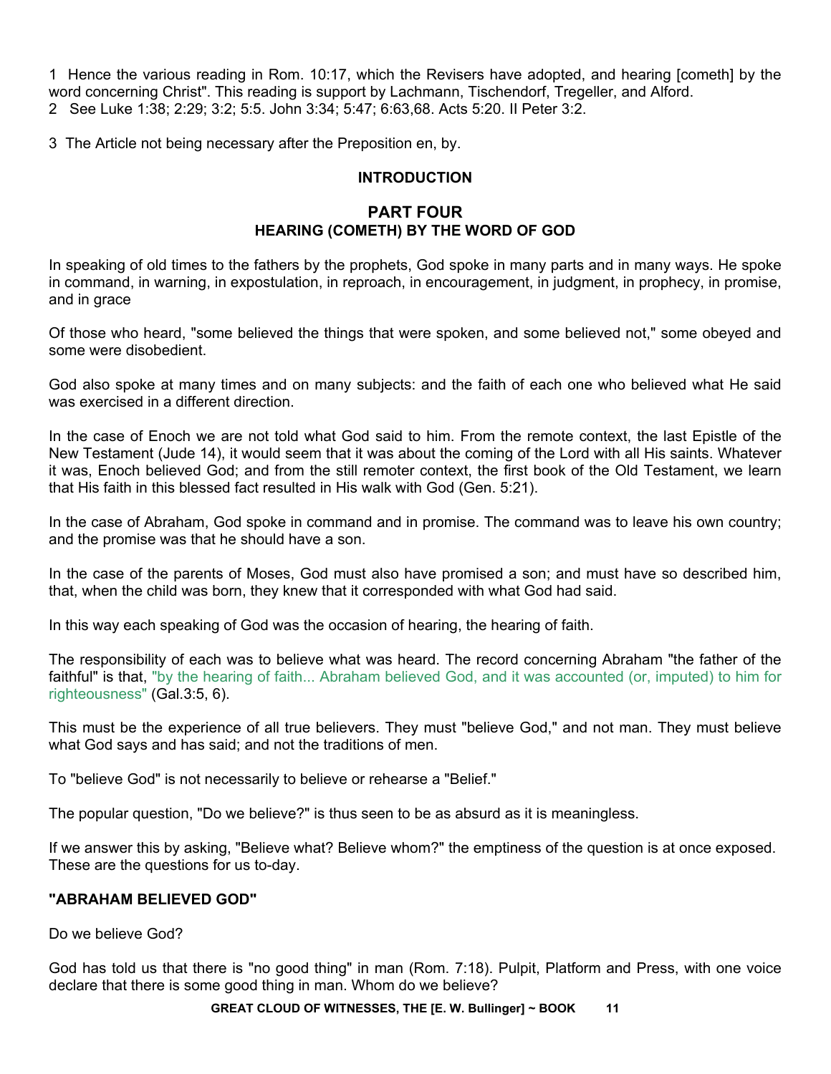1 Hence the various reading in Rom. 10:17, which the Revisers have adopted, and hearing [cometh] by the word concerning Christ". This reading is support by Lachmann, Tischendorf, Tregeller, and Alford. 2 See Luke 1:38; 2:29; 3:2; 5:5. John 3:34; 5:47; 6:63,68. Acts 5:20. II Peter 3:2.

3 The Article not being necessary after the Preposition en, by.

# **INTRODUCTION**

# **PART FOUR HEARING (COMETH) BY THE WORD OF GOD**

In speaking of old times to the fathers by the prophets, God spoke in many parts and in many ways. He spoke in command, in warning, in expostulation, in reproach, in encouragement, in judgment, in prophecy, in promise, and in grace

Of those who heard, "some believed the things that were spoken, and some believed not," some obeyed and some were disobedient.

God also spoke at many times and on many subjects: and the faith of each one who believed what He said was exercised in a different direction

In the case of Enoch we are not told what God said to him. From the remote context, the last Epistle of the New Testament (Jude 14), it would seem that it was about the coming of the Lord with all His saints. Whatever it was, Enoch believed God; and from the still remoter context, the first book of the Old Testament, we learn that His faith in this blessed fact resulted in His walk with God (Gen. 5:21).

In the case of Abraham, God spoke in command and in promise. The command was to leave his own country; and the promise was that he should have a son.

In the case of the parents of Moses, God must also have promised a son; and must have so described him, that, when the child was born, they knew that it corresponded with what God had said.

In this way each speaking of God was the occasion of hearing, the hearing of faith.

The responsibility of each was to believe what was heard. The record concerning Abraham "the father of the faithful" is that, "by the hearing of faith... Abraham believed God, and it was accounted (or, imputed) to him for righteousness" (Gal.3:5, 6).

This must be the experience of all true believers. They must "believe God," and not man. They must believe what God says and has said; and not the traditions of men.

To "believe God" is not necessarily to believe or rehearse a "Belief."

The popular question, "Do we believe?" is thus seen to be as absurd as it is meaningless.

If we answer this by asking, "Believe what? Believe whom?" the emptiness of the question is at once exposed. These are the questions for us to-day.

# **"ABRAHAM BELIEVED GOD"**

Do we believe God?

God has told us that there is "no good thing" in man (Rom. 7:18). Pulpit, Platform and Press, with one voice declare that there is some good thing in man. Whom do we believe?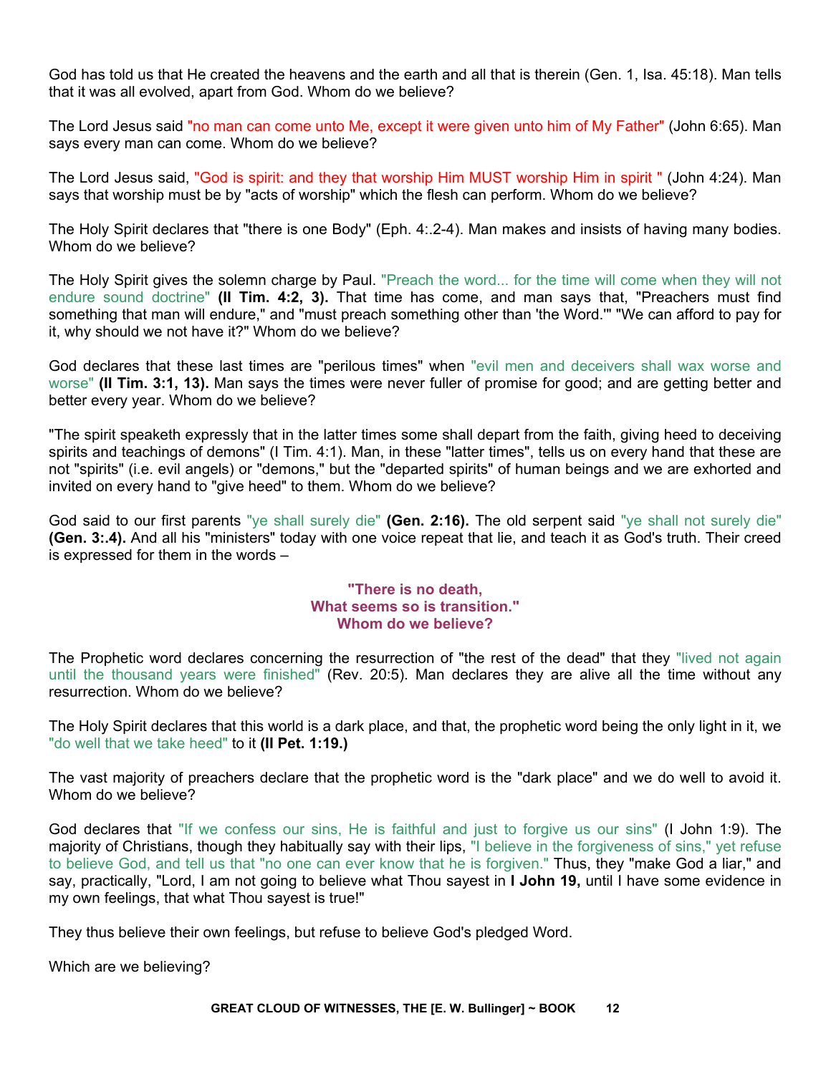God has told us that He created the heavens and the earth and all that is therein (Gen. 1, Isa. 45:18). Man tells that it was all evolved, apart from God. Whom do we believe?

The Lord Jesus said "no man can come unto Me, except it were given unto him of My Father" (John 6:65). Man says every man can come. Whom do we believe?

The Lord Jesus said, "God is spirit: and they that worship Him MUST worship Him in spirit " (John 4:24). Man says that worship must be by "acts of worship" which the flesh can perform. Whom do we believe?

The Holy Spirit declares that "there is one Body" (Eph. 4:.2-4). Man makes and insists of having many bodies. Whom do we believe?

The Holy Spirit gives the solemn charge by Paul. "Preach the word... for the time will come when they will not endure sound doctrine" **(II Tim. 4:2, 3).** That time has come, and man says that, "Preachers must find something that man will endure," and "must preach something other than 'the Word.'" "We can afford to pay for it, why should we not have it?" Whom do we believe?

God declares that these last times are "perilous times" when "evil men and deceivers shall wax worse and worse" **(II Tim. 3:1, 13).** Man says the times were never fuller of promise for good; and are getting better and better every year. Whom do we believe?

"The spirit speaketh expressly that in the latter times some shall depart from the faith, giving heed to deceiving spirits and teachings of demons" (I Tim. 4:1). Man, in these "latter times", tells us on every hand that these are not "spirits" (i.e. evil angels) or "demons," but the "departed spirits" of human beings and we are exhorted and invited on every hand to "give heed" to them. Whom do we believe?

God said to our first parents "ye shall surely die" **(Gen. 2:16).** The old serpent said "ye shall not surely die" **(Gen. 3:.4).** And all his "ministers" today with one voice repeat that lie, and teach it as God's truth. Their creed is expressed for them in the words –

#### **"There is no death, What seems so is transition." Whom do we believe?**

The Prophetic word declares concerning the resurrection of "the rest of the dead" that they "lived not again until the thousand years were finished" (Rev. 20:5). Man declares they are alive all the time without any resurrection. Whom do we believe?

The Holy Spirit declares that this world is a dark place, and that, the prophetic word being the only light in it, we "do well that we take heed" to it **(II Pet. 1:19.)**

The vast majority of preachers declare that the prophetic word is the "dark place" and we do well to avoid it. Whom do we believe?

God declares that "If we confess our sins, He is faithful and just to forgive us our sins" (I John 1:9). The majority of Christians, though they habitually say with their lips, "I believe in the forgiveness of sins," yet refuse to believe God, and tell us that "no one can ever know that he is forgiven." Thus, they "make God a liar," and say, practically, "Lord, I am not going to believe what Thou sayest in **I John 19,** until I have some evidence in my own feelings, that what Thou sayest is true!"

They thus believe their own feelings, but refuse to believe God's pledged Word.

Which are we believing?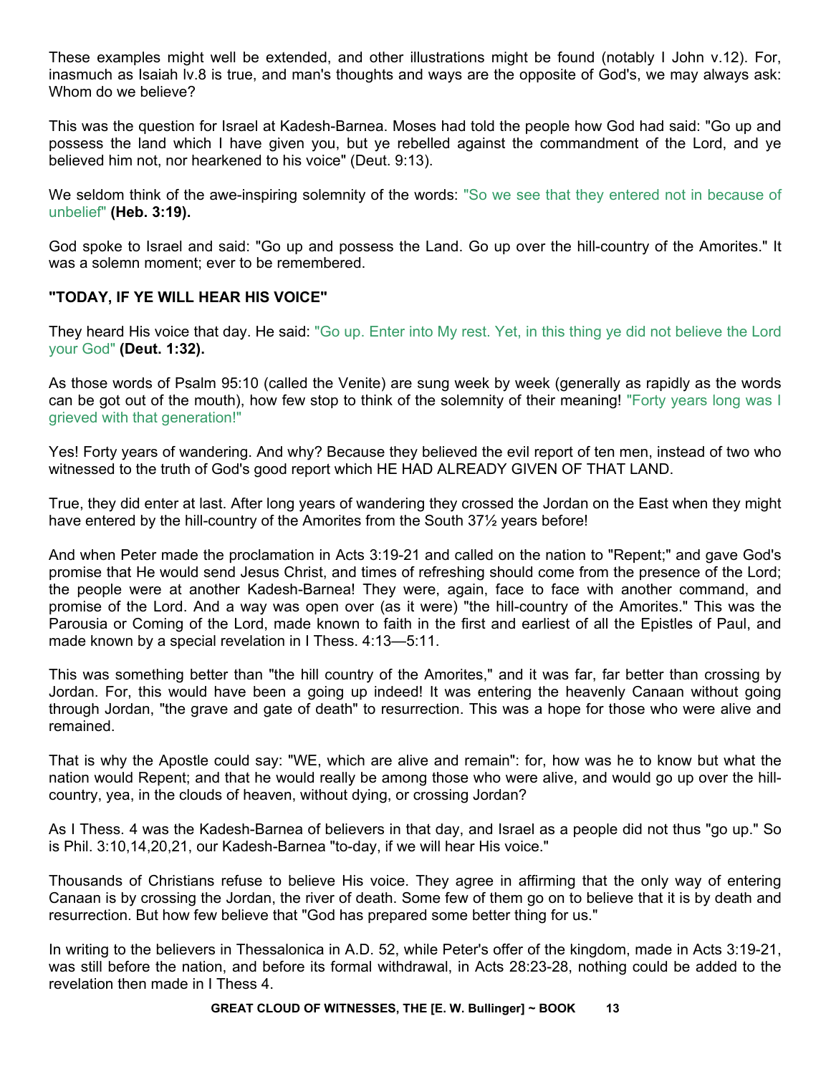These examples might well be extended, and other illustrations might be found (notably I John v.12). For, inasmuch as Isaiah lv.8 is true, and man's thoughts and ways are the opposite of God's, we may always ask: Whom do we believe?

This was the question for Israel at Kadesh-Barnea. Moses had told the people how God had said: "Go up and possess the land which I have given you, but ye rebelled against the commandment of the Lord, and ye believed him not, nor hearkened to his voice" (Deut. 9:13).

We seldom think of the awe-inspiring solemnity of the words: "So we see that they entered not in because of unbelief" **(Heb. 3:19).**

God spoke to Israel and said: "Go up and possess the Land. Go up over the hill-country of the Amorites." It was a solemn moment; ever to be remembered.

# **"TODAY, IF YE WILL HEAR HIS VOICE"**

They heard His voice that day. He said: "Go up. Enter into My rest. Yet, in this thing ye did not believe the Lord your God" **(Deut. 1:32).**

As those words of Psalm 95:10 (called the Venite) are sung week by week (generally as rapidly as the words can be got out of the mouth), how few stop to think of the solemnity of their meaning! "Forty years long was I grieved with that generation!"

Yes! Forty years of wandering. And why? Because they believed the evil report of ten men, instead of two who witnessed to the truth of God's good report which HE HAD ALREADY GIVEN OF THAT LAND.

True, they did enter at last. After long years of wandering they crossed the Jordan on the East when they might have entered by the hill-country of the Amorites from the South 37½ years before!

And when Peter made the proclamation in Acts 3:19-21 and called on the nation to "Repent;" and gave God's promise that He would send Jesus Christ, and times of refreshing should come from the presence of the Lord; the people were at another Kadesh-Barnea! They were, again, face to face with another command, and promise of the Lord. And a way was open over (as it were) "the hill-country of the Amorites." This was the Parousia or Coming of the Lord, made known to faith in the first and earliest of all the Epistles of Paul, and made known by a special revelation in I Thess. 4:13—5:11.

This was something better than "the hill country of the Amorites," and it was far, far better than crossing by Jordan. For, this would have been a going up indeed! It was entering the heavenly Canaan without going through Jordan, "the grave and gate of death" to resurrection. This was a hope for those who were alive and remained.

That is why the Apostle could say: "WE, which are alive and remain": for, how was he to know but what the nation would Repent; and that he would really be among those who were alive, and would go up over the hillcountry, yea, in the clouds of heaven, without dying, or crossing Jordan?

As I Thess. 4 was the Kadesh-Barnea of believers in that day, and Israel as a people did not thus "go up." So is Phil. 3:10,14,20,21, our Kadesh-Barnea "to-day, if we will hear His voice."

Thousands of Christians refuse to believe His voice. They agree in affirming that the only way of entering Canaan is by crossing the Jordan, the river of death. Some few of them go on to believe that it is by death and resurrection. But how few believe that "God has prepared some better thing for us."

In writing to the believers in Thessalonica in A.D. 52, while Peter's offer of the kingdom, made in Acts 3:19-21, was still before the nation, and before its formal withdrawal, in Acts 28:23-28, nothing could be added to the revelation then made in I Thess 4.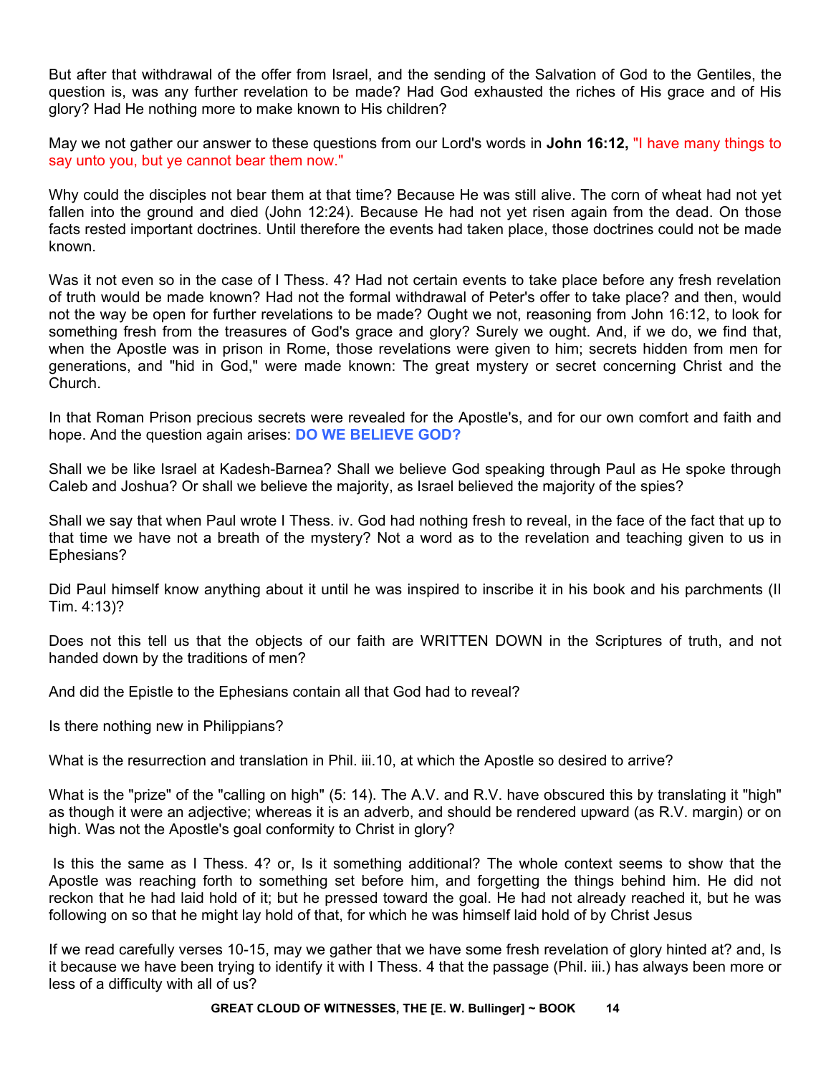But after that withdrawal of the offer from Israel, and the sending of the Salvation of God to the Gentiles, the question is, was any further revelation to be made? Had God exhausted the riches of His grace and of His glory? Had He nothing more to make known to His children?

May we not gather our answer to these questions from our Lord's words in **John 16:12,** "I have many things to say unto you, but ye cannot bear them now."

Why could the disciples not bear them at that time? Because He was still alive. The corn of wheat had not yet fallen into the ground and died (John 12:24). Because He had not yet risen again from the dead. On those facts rested important doctrines. Until therefore the events had taken place, those doctrines could not be made known.

Was it not even so in the case of I Thess. 4? Had not certain events to take place before any fresh revelation of truth would be made known? Had not the formal withdrawal of Peter's offer to take place? and then, would not the way be open for further revelations to be made? Ought we not, reasoning from John 16:12, to look for something fresh from the treasures of God's grace and glory? Surely we ought. And, if we do, we find that, when the Apostle was in prison in Rome, those revelations were given to him; secrets hidden from men for generations, and "hid in God," were made known: The great mystery or secret concerning Christ and the Church.

In that Roman Prison precious secrets were revealed for the Apostle's, and for our own comfort and faith and hope. And the question again arises: **DO WE BELIEVE GOD?** 

Shall we be like Israel at Kadesh-Barnea? Shall we believe God speaking through Paul as He spoke through Caleb and Joshua? Or shall we believe the majority, as Israel believed the majority of the spies?

Shall we say that when Paul wrote I Thess. iv. God had nothing fresh to reveal, in the face of the fact that up to that time we have not a breath of the mystery? Not a word as to the revelation and teaching given to us in Ephesians?

Did Paul himself know anything about it until he was inspired to inscribe it in his book and his parchments (II Tim. 4:13)?

Does not this tell us that the objects of our faith are WRITTEN DOWN in the Scriptures of truth, and not handed down by the traditions of men?

And did the Epistle to the Ephesians contain all that God had to reveal?

Is there nothing new in Philippians?

What is the resurrection and translation in Phil. iii.10, at which the Apostle so desired to arrive?

What is the "prize" of the "calling on high" (5: 14). The A.V. and R.V. have obscured this by translating it "high" as though it were an adjective; whereas it is an adverb, and should be rendered upward (as R.V. margin) or on high. Was not the Apostle's goal conformity to Christ in glory?

 Is this the same as I Thess. 4? or, Is it something additional? The whole context seems to show that the Apostle was reaching forth to something set before him, and forgetting the things behind him. He did not reckon that he had laid hold of it; but he pressed toward the goal. He had not already reached it, but he was following on so that he might lay hold of that, for which he was himself laid hold of by Christ Jesus

If we read carefully verses 10-15, may we gather that we have some fresh revelation of glory hinted at? and, Is it because we have been trying to identify it with I Thess. 4 that the passage (Phil. iii.) has always been more or less of a difficulty with all of us?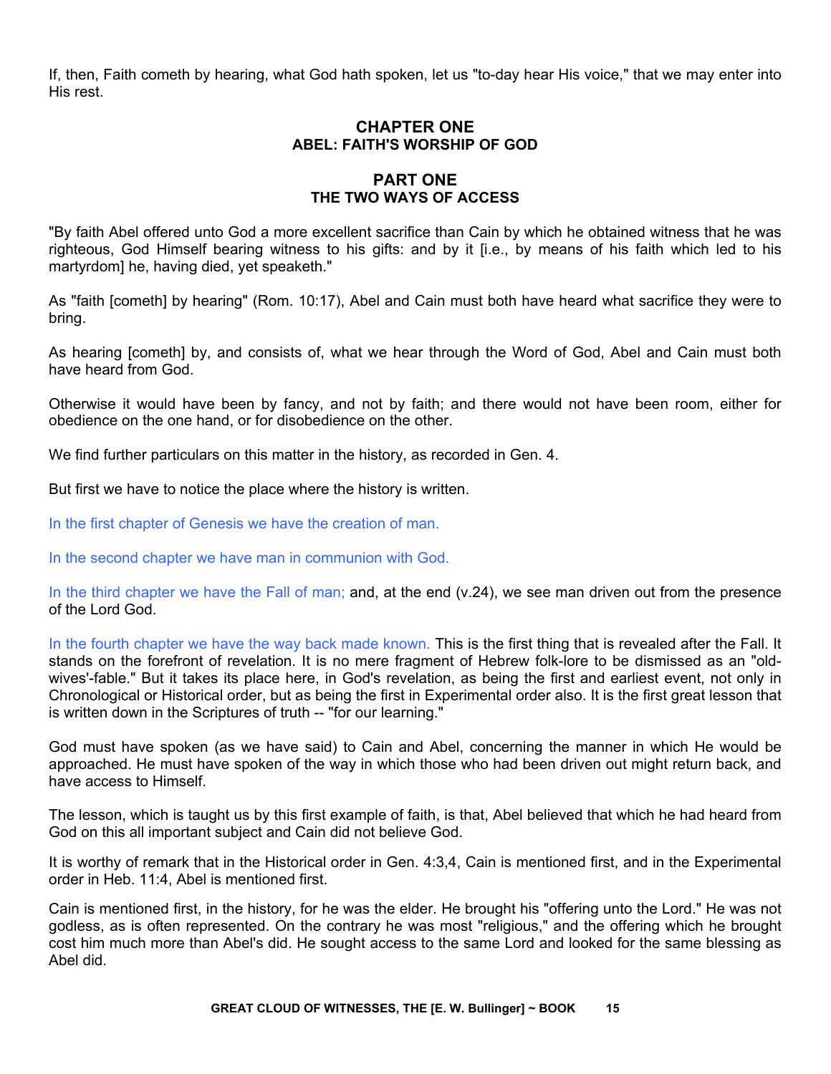If, then, Faith cometh by hearing, what God hath spoken, let us "to-day hear His voice," that we may enter into His rest.

# **CHAPTER ONE ABEL: FAITH'S WORSHIP OF GOD**

# **PART ONE THE TWO WAYS OF ACCESS**

"By faith Abel offered unto God a more excellent sacrifice than Cain by which he obtained witness that he was righteous, God Himself bearing witness to his gifts: and by it [i.e., by means of his faith which led to his martyrdom] he, having died, yet speaketh."

As "faith [cometh] by hearing" (Rom. 10:17), Abel and Cain must both have heard what sacrifice they were to bring.

As hearing [cometh] by, and consists of, what we hear through the Word of God, Abel and Cain must both have heard from God.

Otherwise it would have been by fancy, and not by faith; and there would not have been room, either for obedience on the one hand, or for disobedience on the other.

We find further particulars on this matter in the history, as recorded in Gen. 4.

But first we have to notice the place where the history is written.

In the first chapter of Genesis we have the creation of man.

In the second chapter we have man in communion with God.

In the third chapter we have the Fall of man; and, at the end (v.24), we see man driven out from the presence of the Lord God.

In the fourth chapter we have the way back made known. This is the first thing that is revealed after the Fall. It stands on the forefront of revelation. It is no mere fragment of Hebrew folk-lore to be dismissed as an "oldwives'-fable." But it takes its place here, in God's revelation, as being the first and earliest event, not only in Chronological or Historical order, but as being the first in Experimental order also. It is the first great lesson that is written down in the Scriptures of truth -- "for our learning."

God must have spoken (as we have said) to Cain and Abel, concerning the manner in which He would be approached. He must have spoken of the way in which those who had been driven out might return back, and have access to Himself.

The lesson, which is taught us by this first example of faith, is that, Abel believed that which he had heard from God on this all important subject and Cain did not believe God.

It is worthy of remark that in the Historical order in Gen. 4:3,4, Cain is mentioned first, and in the Experimental order in Heb. 11:4, Abel is mentioned first.

Cain is mentioned first, in the history, for he was the elder. He brought his "offering unto the Lord." He was not godless, as is often represented. On the contrary he was most "religious," and the offering which he brought cost him much more than Abel's did. He sought access to the same Lord and looked for the same blessing as Abel did.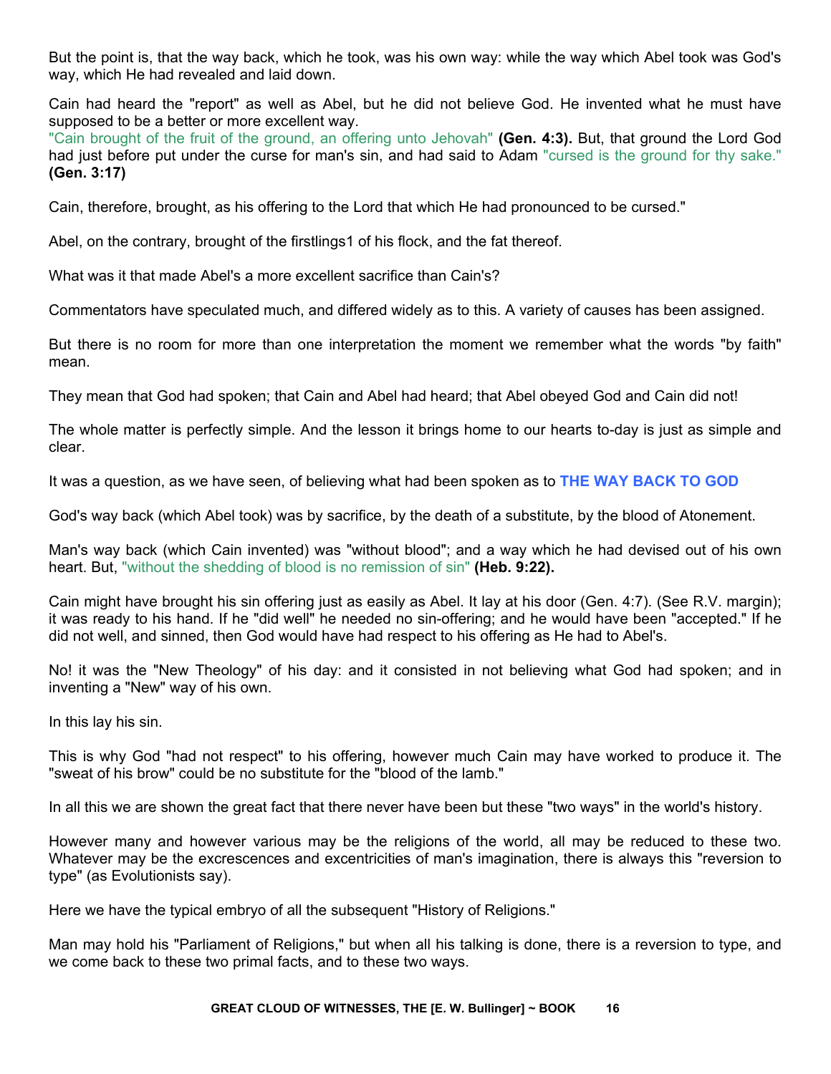But the point is, that the way back, which he took, was his own way: while the way which Abel took was God's way, which He had revealed and laid down.

Cain had heard the "report" as well as Abel, but he did not believe God. He invented what he must have supposed to be a better or more excellent way.

"Cain brought of the fruit of the ground, an offering unto Jehovah" **(Gen. 4:3).** But, that ground the Lord God had just before put under the curse for man's sin, and had said to Adam "cursed is the ground for thy sake." **(Gen. 3:17)** 

Cain, therefore, brought, as his offering to the Lord that which He had pronounced to be cursed."

Abel, on the contrary, brought of the firstlings1 of his flock, and the fat thereof.

What was it that made Abel's a more excellent sacrifice than Cain's?

Commentators have speculated much, and differed widely as to this. A variety of causes has been assigned.

But there is no room for more than one interpretation the moment we remember what the words "by faith" mean.

They mean that God had spoken; that Cain and Abel had heard; that Abel obeyed God and Cain did not!

The whole matter is perfectly simple. And the lesson it brings home to our hearts to-day is just as simple and clear.

It was a question, as we have seen, of believing what had been spoken as to **THE WAY BACK TO GOD**

God's way back (which Abel took) was by sacrifice, by the death of a substitute, by the blood of Atonement.

Man's way back (which Cain invented) was "without blood"; and a way which he had devised out of his own heart. But, "without the shedding of blood is no remission of sin" **(Heb. 9:22).**

Cain might have brought his sin offering just as easily as Abel. It lay at his door (Gen. 4:7). (See R.V. margin); it was ready to his hand. If he "did well" he needed no sin-offering; and he would have been "accepted." If he did not well, and sinned, then God would have had respect to his offering as He had to Abel's.

No! it was the "New Theology" of his day: and it consisted in not believing what God had spoken; and in inventing a "New" way of his own.

In this lay his sin.

This is why God "had not respect" to his offering, however much Cain may have worked to produce it. The "sweat of his brow" could be no substitute for the "blood of the lamb."

In all this we are shown the great fact that there never have been but these "two ways" in the world's history.

However many and however various may be the religions of the world, all may be reduced to these two. Whatever may be the excrescences and excentricities of man's imagination, there is always this "reversion to type" (as Evolutionists say).

Here we have the typical embryo of all the subsequent "History of Religions."

Man may hold his "Parliament of Religions," but when all his talking is done, there is a reversion to type, and we come back to these two primal facts, and to these two ways.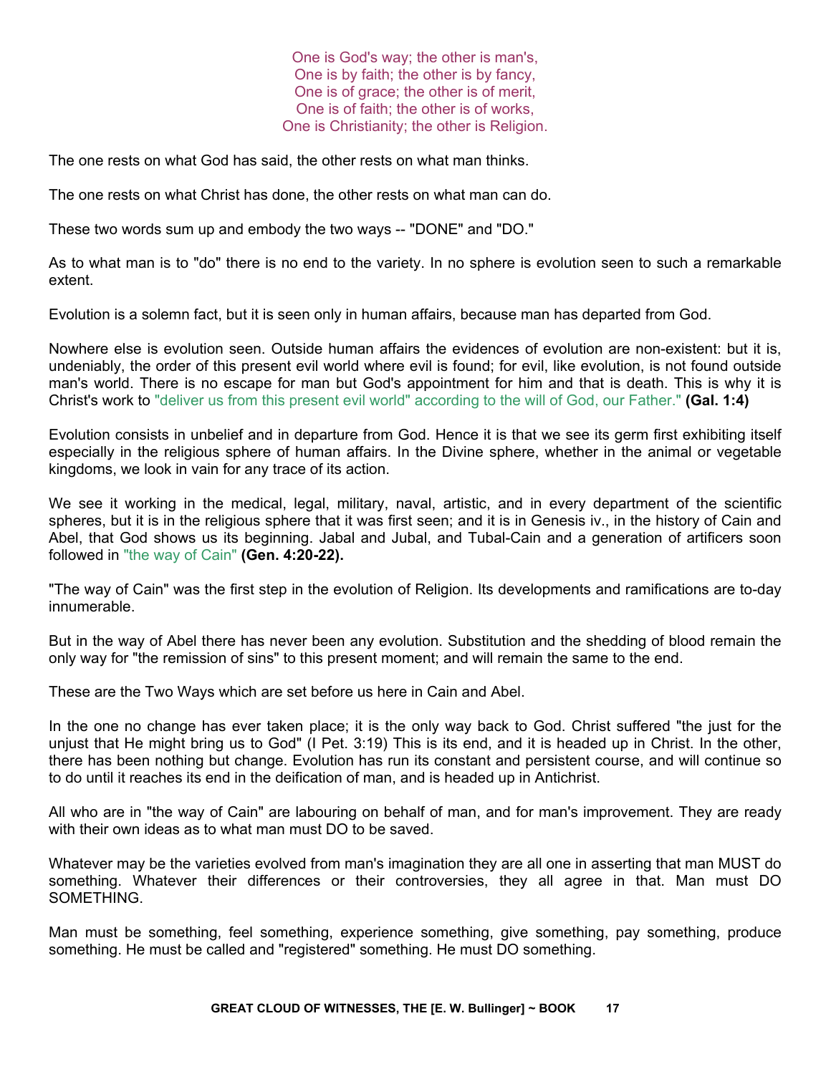One is God's way; the other is man's, One is by faith; the other is by fancy, One is of grace; the other is of merit. One is of faith; the other is of works, One is Christianity; the other is Religion.

The one rests on what God has said, the other rests on what man thinks.

The one rests on what Christ has done, the other rests on what man can do.

These two words sum up and embody the two ways -- "DONE" and "DO."

As to what man is to "do" there is no end to the variety. In no sphere is evolution seen to such a remarkable extent.

Evolution is a solemn fact, but it is seen only in human affairs, because man has departed from God.

Nowhere else is evolution seen. Outside human affairs the evidences of evolution are non-existent: but it is, undeniably, the order of this present evil world where evil is found; for evil, like evolution, is not found outside man's world. There is no escape for man but God's appointment for him and that is death. This is why it is Christ's work to "deliver us from this present evil world" according to the will of God, our Father." **(Gal. 1:4)**

Evolution consists in unbelief and in departure from God. Hence it is that we see its germ first exhibiting itself especially in the religious sphere of human affairs. In the Divine sphere, whether in the animal or vegetable kingdoms, we look in vain for any trace of its action.

We see it working in the medical, legal, military, naval, artistic, and in every department of the scientific spheres, but it is in the religious sphere that it was first seen; and it is in Genesis iv., in the history of Cain and Abel, that God shows us its beginning. Jabal and Jubal, and Tubal-Cain and a generation of artificers soon followed in "the way of Cain" **(Gen. 4:20-22).**

"The way of Cain" was the first step in the evolution of Religion. Its developments and ramifications are to-day innumerable.

But in the way of Abel there has never been any evolution. Substitution and the shedding of blood remain the only way for "the remission of sins" to this present moment; and will remain the same to the end.

These are the Two Ways which are set before us here in Cain and Abel.

In the one no change has ever taken place; it is the only way back to God. Christ suffered "the just for the unjust that He might bring us to God" (I Pet. 3:19) This is its end, and it is headed up in Christ. In the other, there has been nothing but change. Evolution has run its constant and persistent course, and will continue so to do until it reaches its end in the deification of man, and is headed up in Antichrist.

All who are in "the way of Cain" are labouring on behalf of man, and for man's improvement. They are ready with their own ideas as to what man must DO to be saved.

Whatever may be the varieties evolved from man's imagination they are all one in asserting that man MUST do something. Whatever their differences or their controversies, they all agree in that. Man must DO SOMETHING.

Man must be something, feel something, experience something, give something, pay something, produce something. He must be called and "registered" something. He must DO something.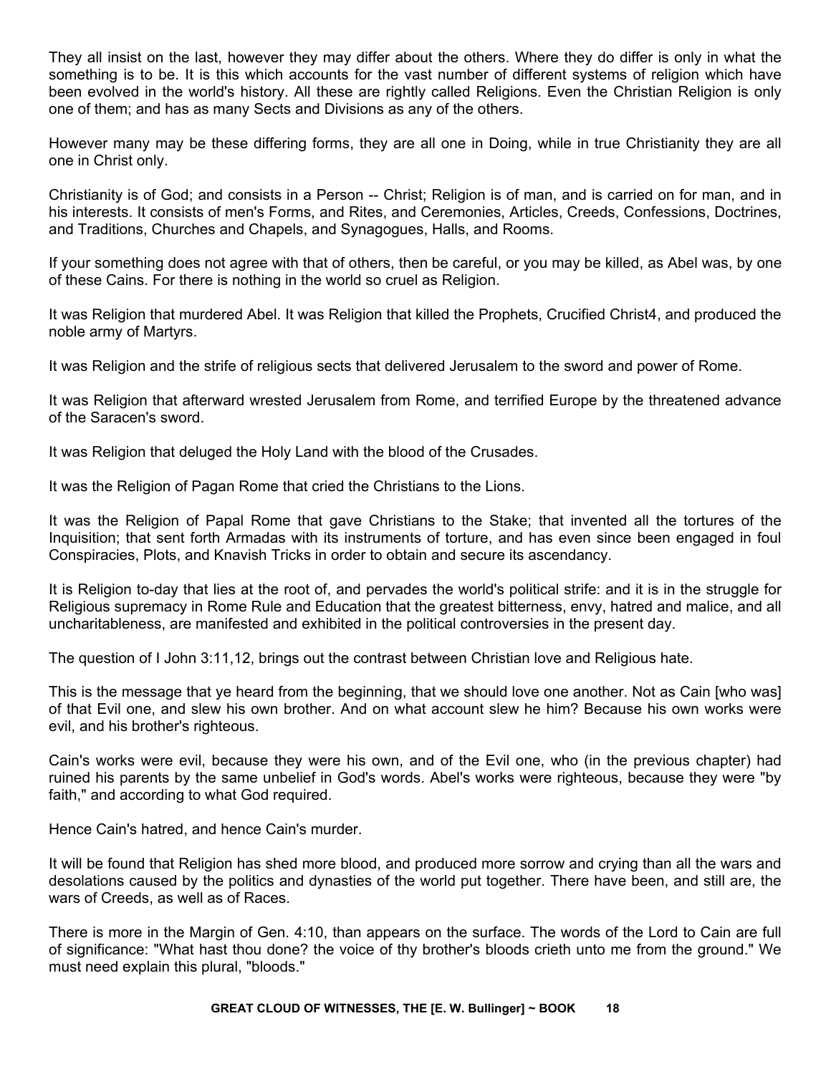They all insist on the last, however they may differ about the others. Where they do differ is only in what the something is to be. It is this which accounts for the vast number of different systems of religion which have been evolved in the world's history. All these are rightly called Religions. Even the Christian Religion is only one of them; and has as many Sects and Divisions as any of the others.

However many may be these differing forms, they are all one in Doing, while in true Christianity they are all one in Christ only.

Christianity is of God; and consists in a Person -- Christ; Religion is of man, and is carried on for man, and in his interests. It consists of men's Forms, and Rites, and Ceremonies, Articles, Creeds, Confessions, Doctrines, and Traditions, Churches and Chapels, and Synagogues, Halls, and Rooms.

If your something does not agree with that of others, then be careful, or you may be killed, as Abel was, by one of these Cains. For there is nothing in the world so cruel as Religion.

It was Religion that murdered Abel. It was Religion that killed the Prophets, Crucified Christ4, and produced the noble army of Martyrs.

It was Religion and the strife of religious sects that delivered Jerusalem to the sword and power of Rome.

It was Religion that afterward wrested Jerusalem from Rome, and terrified Europe by the threatened advance of the Saracen's sword.

It was Religion that deluged the Holy Land with the blood of the Crusades.

It was the Religion of Pagan Rome that cried the Christians to the Lions.

It was the Religion of Papal Rome that gave Christians to the Stake; that invented all the tortures of the Inquisition; that sent forth Armadas with its instruments of torture, and has even since been engaged in foul Conspiracies, Plots, and Knavish Tricks in order to obtain and secure its ascendancy.

It is Religion to-day that lies at the root of, and pervades the world's political strife: and it is in the struggle for Religious supremacy in Rome Rule and Education that the greatest bitterness, envy, hatred and malice, and all uncharitableness, are manifested and exhibited in the political controversies in the present day.

The question of I John 3:11,12, brings out the contrast between Christian love and Religious hate.

This is the message that ye heard from the beginning, that we should love one another. Not as Cain [who was] of that Evil one, and slew his own brother. And on what account slew he him? Because his own works were evil, and his brother's righteous.

Cain's works were evil, because they were his own, and of the Evil one, who (in the previous chapter) had ruined his parents by the same unbelief in God's words. Abel's works were righteous, because they were "by faith," and according to what God required.

Hence Cain's hatred, and hence Cain's murder.

It will be found that Religion has shed more blood, and produced more sorrow and crying than all the wars and desolations caused by the politics and dynasties of the world put together. There have been, and still are, the wars of Creeds, as well as of Races.

There is more in the Margin of Gen. 4:10, than appears on the surface. The words of the Lord to Cain are full of significance: "What hast thou done? the voice of thy brother's bloods crieth unto me from the ground." We must need explain this plural, "bloods."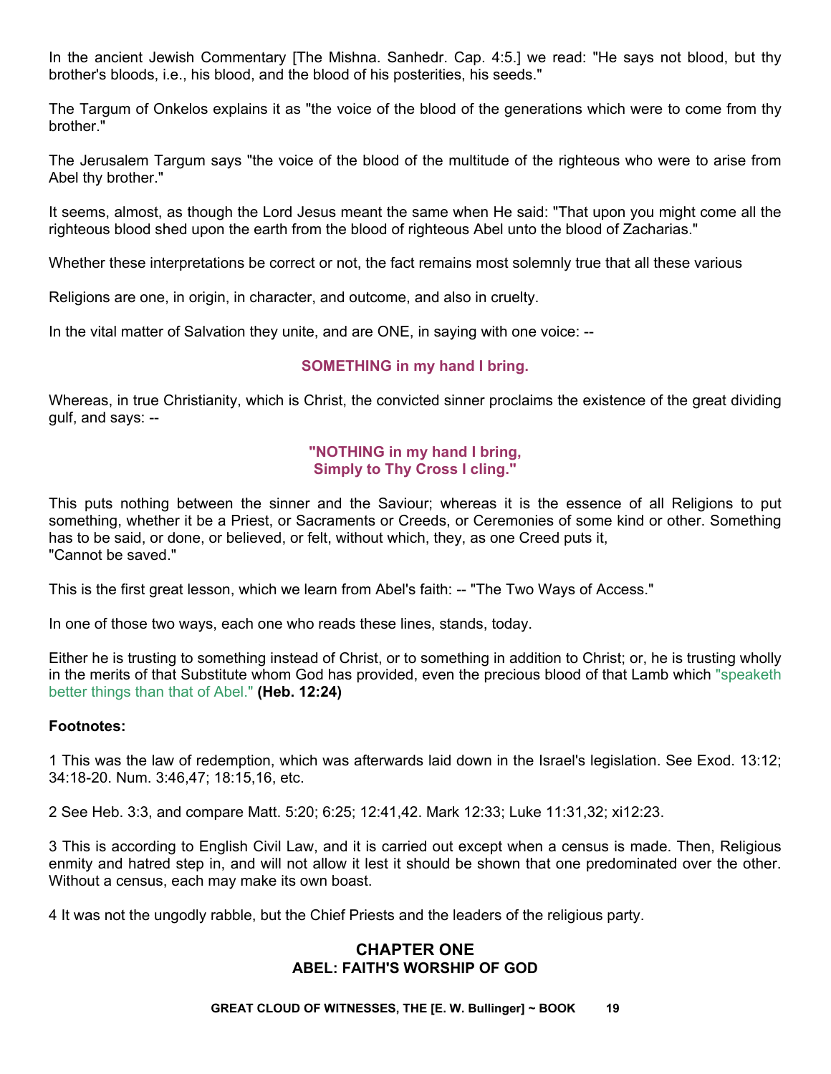In the ancient Jewish Commentary [The Mishna. Sanhedr. Cap. 4:5.] we read: "He says not blood, but thy brother's bloods, i.e., his blood, and the blood of his posterities, his seeds."

The Targum of Onkelos explains it as "the voice of the blood of the generations which were to come from thy brother."

The Jerusalem Targum says "the voice of the blood of the multitude of the righteous who were to arise from Abel thy brother."

It seems, almost, as though the Lord Jesus meant the same when He said: "That upon you might come all the righteous blood shed upon the earth from the blood of righteous Abel unto the blood of Zacharias."

Whether these interpretations be correct or not, the fact remains most solemnly true that all these various

Religions are one, in origin, in character, and outcome, and also in cruelty.

In the vital matter of Salvation they unite, and are ONE, in saying with one voice: --

## **SOMETHING in my hand I bring.**

Whereas, in true Christianity, which is Christ, the convicted sinner proclaims the existence of the great dividing gulf, and says: --

#### **"NOTHING in my hand I bring, Simply to Thy Cross I cling."**

This puts nothing between the sinner and the Saviour; whereas it is the essence of all Religions to put something, whether it be a Priest, or Sacraments or Creeds, or Ceremonies of some kind or other. Something has to be said, or done, or believed, or felt, without which, they, as one Creed puts it, "Cannot be saved."

This is the first great lesson, which we learn from Abel's faith: -- "The Two Ways of Access."

In one of those two ways, each one who reads these lines, stands, today.

Either he is trusting to something instead of Christ, or to something in addition to Christ; or, he is trusting wholly in the merits of that Substitute whom God has provided, even the precious blood of that Lamb which "speaketh better things than that of Abel." **(Heb. 12:24)** 

#### **Footnotes:**

1 This was the law of redemption, which was afterwards laid down in the Israel's legislation. See Exod. 13:12; 34:18-20. Num. 3:46,47; 18:15,16, etc.

2 See Heb. 3:3, and compare Matt. 5:20; 6:25; 12:41,42. Mark 12:33; Luke 11:31,32; xi12:23.

3 This is according to English Civil Law, and it is carried out except when a census is made. Then, Religious enmity and hatred step in, and will not allow it lest it should be shown that one predominated over the other. Without a census, each may make its own boast.

4 It was not the ungodly rabble, but the Chief Priests and the leaders of the religious party.

## **CHAPTER ONE ABEL: FAITH'S WORSHIP OF GOD**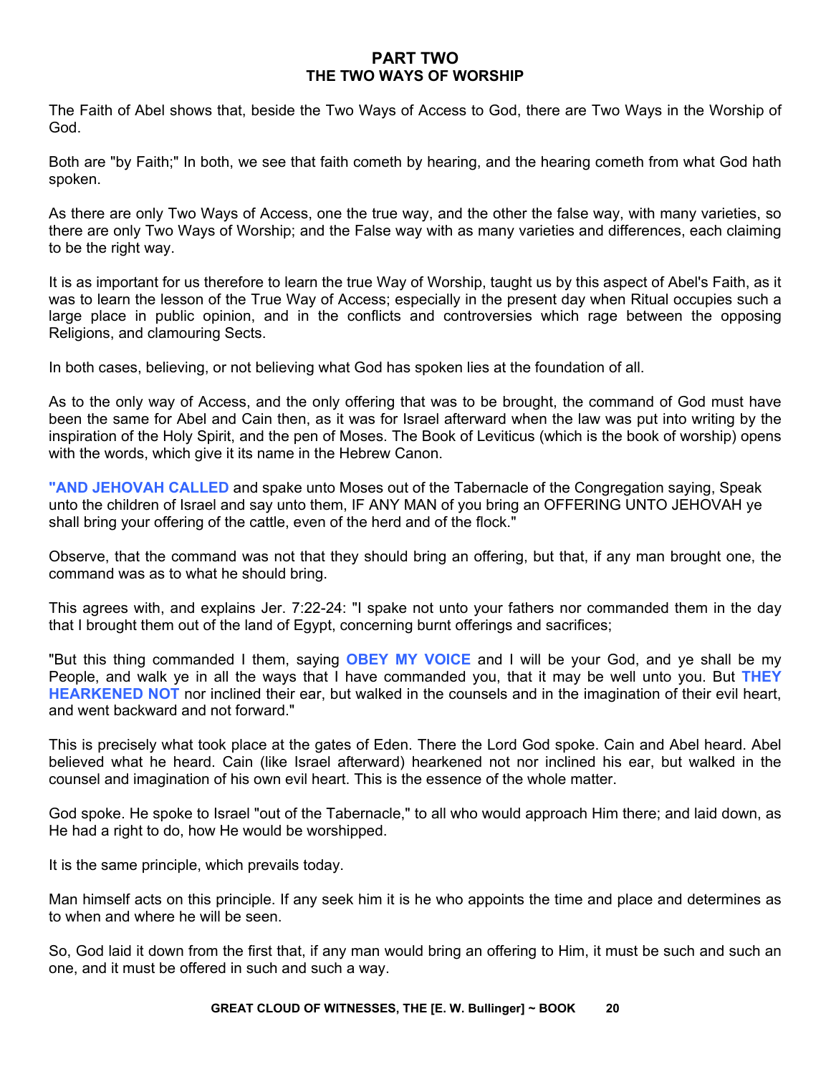## **PART TWO THE TWO WAYS OF WORSHIP**

The Faith of Abel shows that, beside the Two Ways of Access to God, there are Two Ways in the Worship of God.

Both are "by Faith;" In both, we see that faith cometh by hearing, and the hearing cometh from what God hath spoken.

As there are only Two Ways of Access, one the true way, and the other the false way, with many varieties, so there are only Two Ways of Worship; and the False way with as many varieties and differences, each claiming to be the right way.

It is as important for us therefore to learn the true Way of Worship, taught us by this aspect of Abel's Faith, as it was to learn the lesson of the True Way of Access; especially in the present day when Ritual occupies such a large place in public opinion, and in the conflicts and controversies which rage between the opposing Religions, and clamouring Sects.

In both cases, believing, or not believing what God has spoken lies at the foundation of all.

As to the only way of Access, and the only offering that was to be brought, the command of God must have been the same for Abel and Cain then, as it was for Israel afterward when the law was put into writing by the inspiration of the Holy Spirit, and the pen of Moses. The Book of Leviticus (which is the book of worship) opens with the words, which give it its name in the Hebrew Canon.

**"AND JEHOVAH CALLED** and spake unto Moses out of the Tabernacle of the Congregation saying, Speak unto the children of Israel and say unto them, IF ANY MAN of you bring an OFFERING UNTO JEHOVAH ye shall bring your offering of the cattle, even of the herd and of the flock."

Observe, that the command was not that they should bring an offering, but that, if any man brought one, the command was as to what he should bring.

This agrees with, and explains Jer. 7:22-24: "I spake not unto your fathers nor commanded them in the day that I brought them out of the land of Egypt, concerning burnt offerings and sacrifices;

"But this thing commanded I them, saying **OBEY MY VOICE** and I will be your God, and ye shall be my People, and walk ye in all the ways that I have commanded you, that it may be well unto you. But **THEY HEARKENED NOT** nor inclined their ear, but walked in the counsels and in the imagination of their evil heart, and went backward and not forward."

This is precisely what took place at the gates of Eden. There the Lord God spoke. Cain and Abel heard. Abel believed what he heard. Cain (like Israel afterward) hearkened not nor inclined his ear, but walked in the counsel and imagination of his own evil heart. This is the essence of the whole matter.

God spoke. He spoke to Israel "out of the Tabernacle," to all who would approach Him there; and laid down, as He had a right to do, how He would be worshipped.

It is the same principle, which prevails today.

Man himself acts on this principle. If any seek him it is he who appoints the time and place and determines as to when and where he will be seen.

So, God laid it down from the first that, if any man would bring an offering to Him, it must be such and such an one, and it must be offered in such and such a way.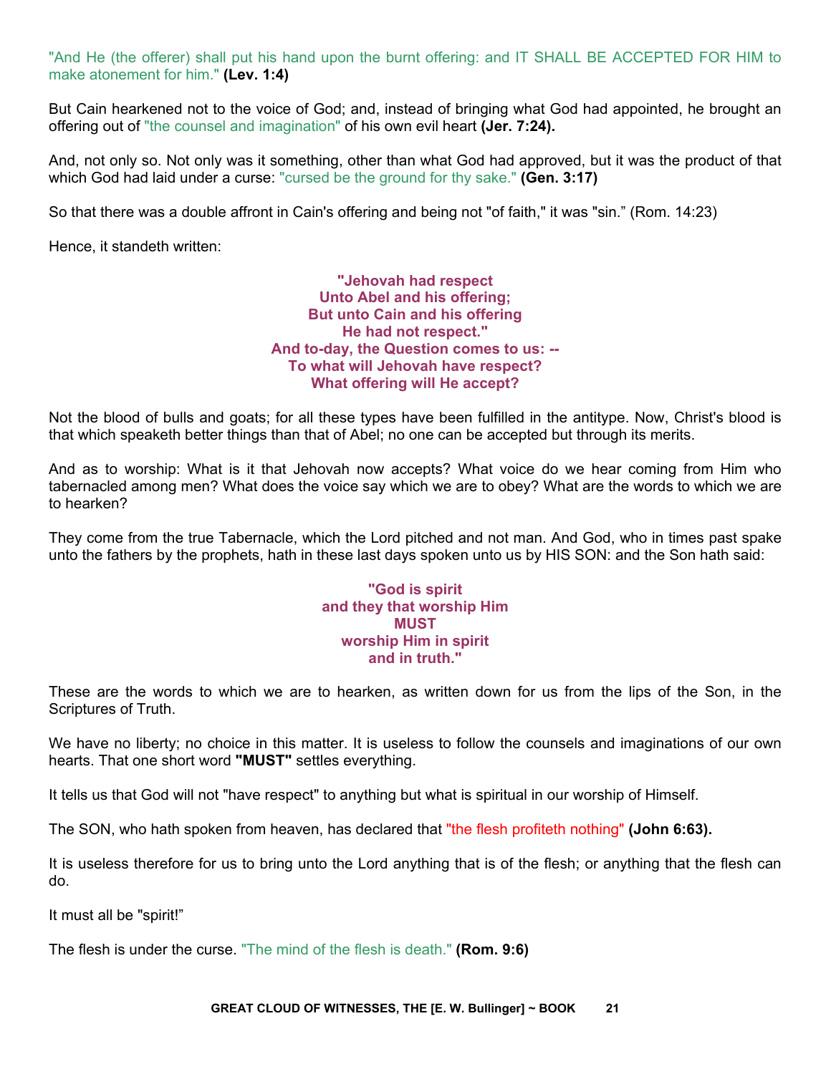"And He (the offerer) shall put his hand upon the burnt offering: and IT SHALL BE ACCEPTED FOR HIM to make atonement for him." **(Lev. 1:4)**

But Cain hearkened not to the voice of God; and, instead of bringing what God had appointed, he brought an offering out of "the counsel and imagination" of his own evil heart **(Jer. 7:24).**

And, not only so. Not only was it something, other than what God had approved, but it was the product of that which God had laid under a curse: "cursed be the ground for thy sake." **(Gen. 3:17)**

So that there was a double affront in Cain's offering and being not "of faith," it was "sin." (Rom. 14:23)

Hence, it standeth written:

**"Jehovah had respect Unto Abel and his offering; But unto Cain and his offering He had not respect." And to-day, the Question comes to us: -- To what will Jehovah have respect? What offering will He accept?** 

Not the blood of bulls and goats; for all these types have been fulfilled in the antitype. Now, Christ's blood is that which speaketh better things than that of Abel; no one can be accepted but through its merits.

And as to worship: What is it that Jehovah now accepts? What voice do we hear coming from Him who tabernacled among men? What does the voice say which we are to obey? What are the words to which we are to hearken?

They come from the true Tabernacle, which the Lord pitched and not man. And God, who in times past spake unto the fathers by the prophets, hath in these last days spoken unto us by HIS SON: and the Son hath said:

## **"God is spirit and they that worship Him MUST worship Him in spirit and in truth."**

These are the words to which we are to hearken, as written down for us from the lips of the Son, in the Scriptures of Truth.

We have no liberty; no choice in this matter. It is useless to follow the counsels and imaginations of our own hearts. That one short word **"MUST"** settles everything.

It tells us that God will not "have respect" to anything but what is spiritual in our worship of Himself.

The SON, who hath spoken from heaven, has declared that "the flesh profiteth nothing" **(John 6:63).**

It is useless therefore for us to bring unto the Lord anything that is of the flesh; or anything that the flesh can do.

It must all be "spirit!"

The flesh is under the curse. "The mind of the flesh is death." **(Rom. 9:6)**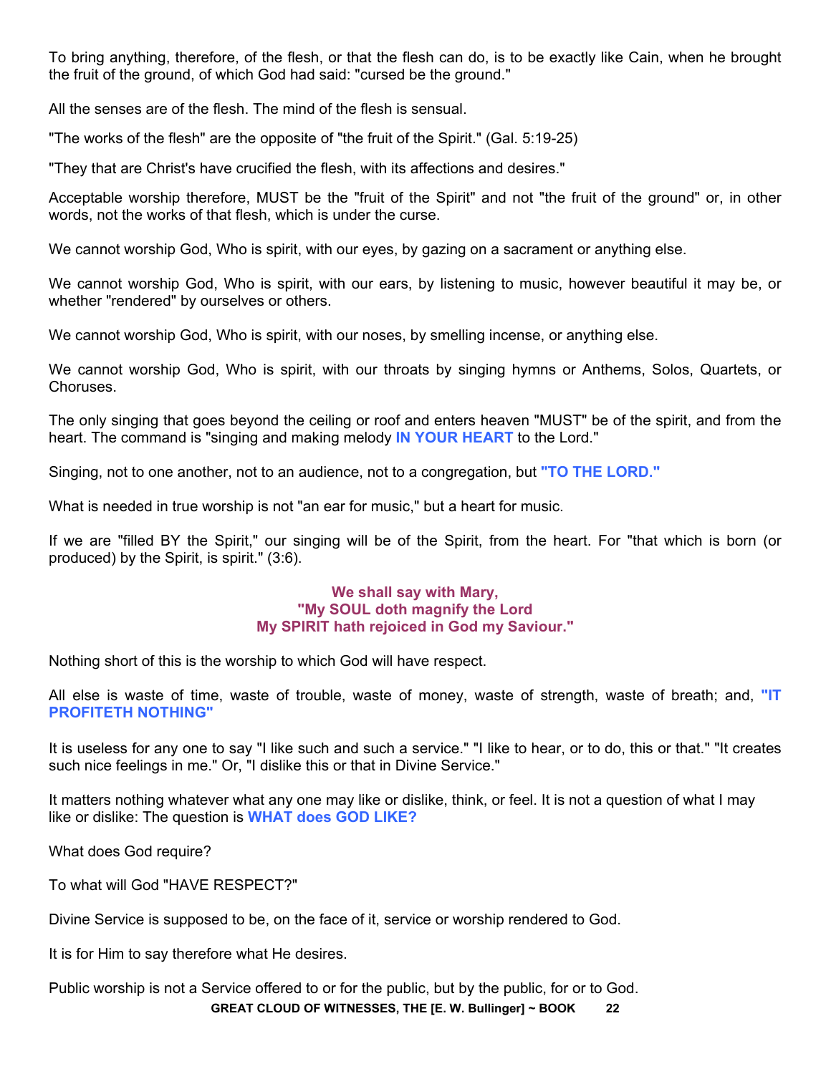To bring anything, therefore, of the flesh, or that the flesh can do, is to be exactly like Cain, when he brought the fruit of the ground, of which God had said: "cursed be the ground."

All the senses are of the flesh. The mind of the flesh is sensual.

"The works of the flesh" are the opposite of "the fruit of the Spirit." (Gal. 5:19-25)

"They that are Christ's have crucified the flesh, with its affections and desires."

Acceptable worship therefore, MUST be the "fruit of the Spirit" and not "the fruit of the ground" or, in other words, not the works of that flesh, which is under the curse.

We cannot worship God, Who is spirit, with our eyes, by gazing on a sacrament or anything else.

We cannot worship God, Who is spirit, with our ears, by listening to music, however beautiful it may be, or whether "rendered" by ourselves or others.

We cannot worship God, Who is spirit, with our noses, by smelling incense, or anything else.

We cannot worship God, Who is spirit, with our throats by singing hymns or Anthems, Solos, Quartets, or Choruses.

The only singing that goes beyond the ceiling or roof and enters heaven "MUST" be of the spirit, and from the heart. The command is "singing and making melody **IN YOUR HEART** to the Lord."

Singing, not to one another, not to an audience, not to a congregation, but **"TO THE LORD."**

What is needed in true worship is not "an ear for music," but a heart for music.

If we are "filled BY the Spirit," our singing will be of the Spirit, from the heart. For "that which is born (or produced) by the Spirit, is spirit." (3:6).

#### **We shall say with Mary, "My SOUL doth magnify the Lord My SPIRIT hath rejoiced in God my Saviour."**

Nothing short of this is the worship to which God will have respect.

All else is waste of time, waste of trouble, waste of money, waste of strength, waste of breath; and, **"IT PROFITETH NOTHING"** 

It is useless for any one to say "I like such and such a service." "I like to hear, or to do, this or that." "It creates such nice feelings in me." Or, "I dislike this or that in Divine Service."

It matters nothing whatever what any one may like or dislike, think, or feel. It is not a question of what I may like or dislike: The question is **WHAT does GOD LIKE?**

What does God require?

To what will God "HAVE RESPECT?"

Divine Service is supposed to be, on the face of it, service or worship rendered to God.

It is for Him to say therefore what He desires.

**GREAT CLOUD OF WITNESSES, THE [E. W. Bullinger] ~ BOOK 22**  Public worship is not a Service offered to or for the public, but by the public, for or to God.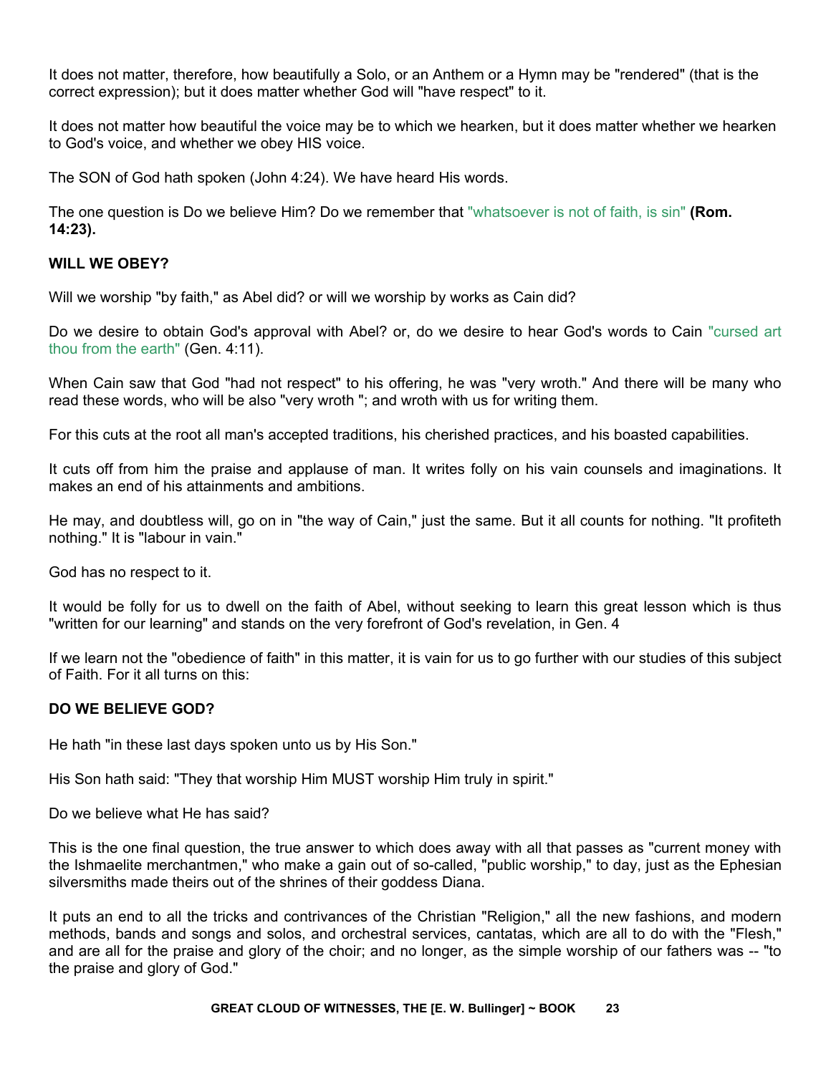It does not matter, therefore, how beautifully a Solo, or an Anthem or a Hymn may be "rendered" (that is the correct expression); but it does matter whether God will "have respect" to it.

It does not matter how beautiful the voice may be to which we hearken, but it does matter whether we hearken to God's voice, and whether we obey HIS voice.

The SON of God hath spoken (John 4:24). We have heard His words.

The one question is Do we believe Him? Do we remember that "whatsoever is not of faith, is sin" **(Rom. 14:23).**

#### **WILL WE OBEY?**

Will we worship "by faith," as Abel did? or will we worship by works as Cain did?

Do we desire to obtain God's approval with Abel? or, do we desire to hear God's words to Cain "cursed art thou from the earth" (Gen. 4:11).

When Cain saw that God "had not respect" to his offering, he was "very wroth." And there will be many who read these words, who will be also "very wroth "; and wroth with us for writing them.

For this cuts at the root all man's accepted traditions, his cherished practices, and his boasted capabilities.

It cuts off from him the praise and applause of man. It writes folly on his vain counsels and imaginations. It makes an end of his attainments and ambitions.

He may, and doubtless will, go on in "the way of Cain," just the same. But it all counts for nothing. "It profiteth nothing." It is "labour in vain."

God has no respect to it.

It would be folly for us to dwell on the faith of Abel, without seeking to learn this great lesson which is thus "written for our learning" and stands on the very forefront of God's revelation, in Gen. 4

If we learn not the "obedience of faith" in this matter, it is vain for us to go further with our studies of this subject of Faith. For it all turns on this:

## **DO WE BELIEVE GOD?**

He hath "in these last days spoken unto us by His Son."

His Son hath said: "They that worship Him MUST worship Him truly in spirit."

Do we believe what He has said?

This is the one final question, the true answer to which does away with all that passes as "current money with the Ishmaelite merchantmen," who make a gain out of so-called, "public worship," to day, just as the Ephesian silversmiths made theirs out of the shrines of their goddess Diana.

It puts an end to all the tricks and contrivances of the Christian "Religion," all the new fashions, and modern methods, bands and songs and solos, and orchestral services, cantatas, which are all to do with the "Flesh," and are all for the praise and glory of the choir; and no longer, as the simple worship of our fathers was -- "to the praise and glory of God."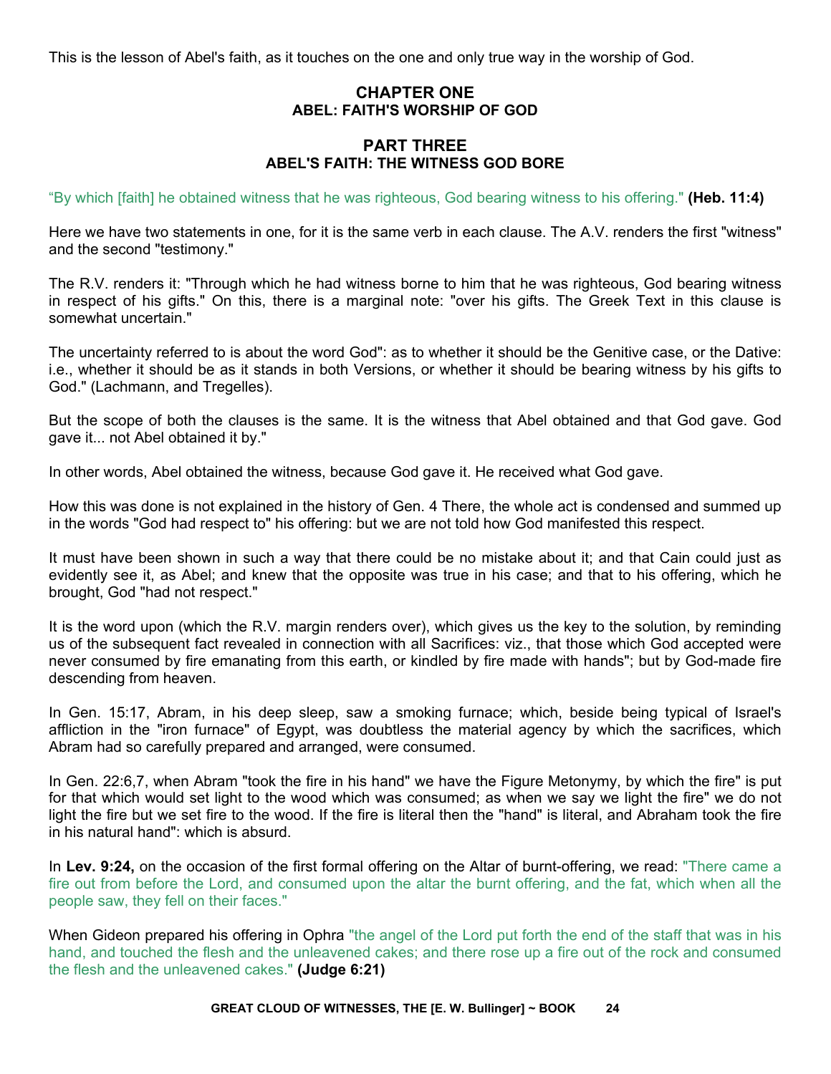This is the lesson of Abel's faith, as it touches on the one and only true way in the worship of God.

## **CHAPTER ONE ABEL: FAITH'S WORSHIP OF GOD**

# **PART THREE ABEL'S FAITH: THE WITNESS GOD BORE**

"By which [faith] he obtained witness that he was righteous, God bearing witness to his offering." **(Heb. 11:4)**

Here we have two statements in one, for it is the same verb in each clause. The A.V. renders the first "witness" and the second "testimony."

The R.V. renders it: "Through which he had witness borne to him that he was righteous, God bearing witness in respect of his gifts." On this, there is a marginal note: "over his gifts. The Greek Text in this clause is somewhat uncertain."

The uncertainty referred to is about the word God": as to whether it should be the Genitive case, or the Dative: i.e., whether it should be as it stands in both Versions, or whether it should be bearing witness by his gifts to God." (Lachmann, and Tregelles).

But the scope of both the clauses is the same. It is the witness that Abel obtained and that God gave. God gave it... not Abel obtained it by."

In other words, Abel obtained the witness, because God gave it. He received what God gave.

How this was done is not explained in the history of Gen. 4 There, the whole act is condensed and summed up in the words "God had respect to" his offering: but we are not told how God manifested this respect.

It must have been shown in such a way that there could be no mistake about it; and that Cain could just as evidently see it, as Abel; and knew that the opposite was true in his case; and that to his offering, which he brought, God "had not respect."

It is the word upon (which the R.V. margin renders over), which gives us the key to the solution, by reminding us of the subsequent fact revealed in connection with all Sacrifices: viz., that those which God accepted were never consumed by fire emanating from this earth, or kindled by fire made with hands"; but by God-made fire descending from heaven.

In Gen. 15:17, Abram, in his deep sleep, saw a smoking furnace; which, beside being typical of Israel's affliction in the "iron furnace" of Egypt, was doubtless the material agency by which the sacrifices, which Abram had so carefully prepared and arranged, were consumed.

In Gen. 22:6,7, when Abram "took the fire in his hand" we have the Figure Metonymy, by which the fire" is put for that which would set light to the wood which was consumed; as when we say we light the fire" we do not light the fire but we set fire to the wood. If the fire is literal then the "hand" is literal, and Abraham took the fire in his natural hand": which is absurd.

In **Lev. 9:24,** on the occasion of the first formal offering on the Altar of burnt-offering, we read: "There came a fire out from before the Lord, and consumed upon the altar the burnt offering, and the fat, which when all the people saw, they fell on their faces."

When Gideon prepared his offering in Ophra "the angel of the Lord put forth the end of the staff that was in his hand, and touched the flesh and the unleavened cakes; and there rose up a fire out of the rock and consumed the flesh and the unleavened cakes." **(Judge 6:21)**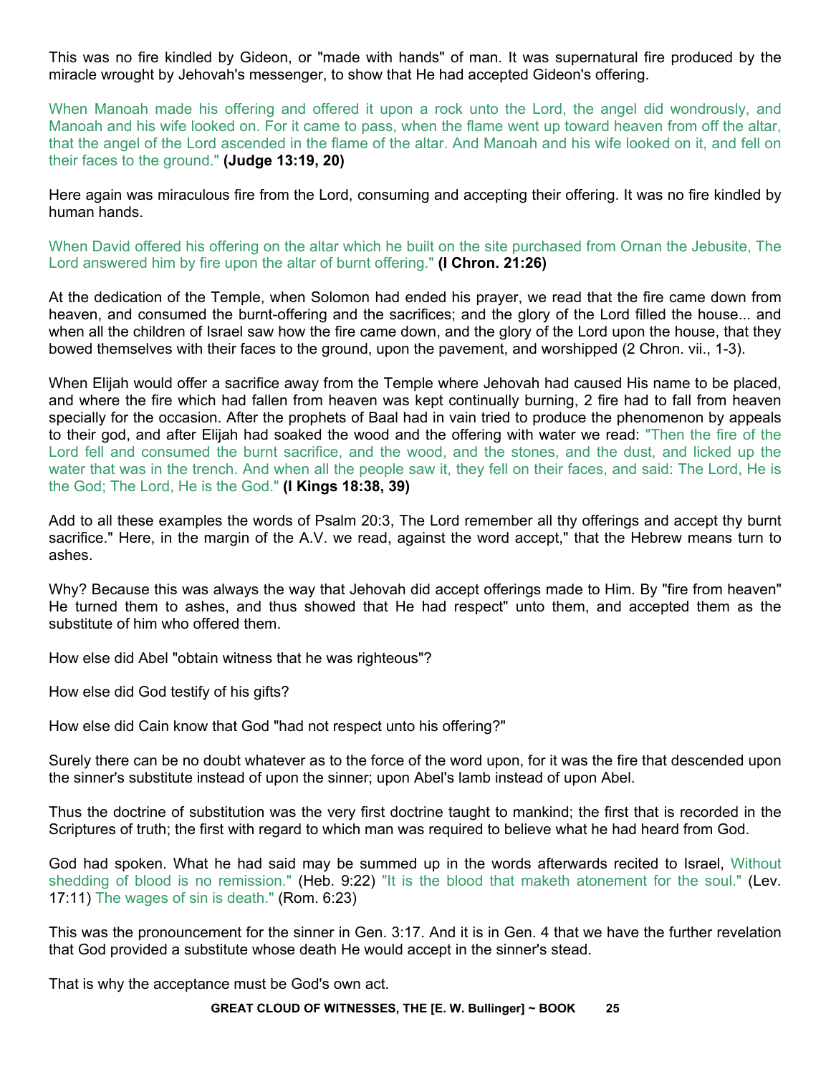This was no fire kindled by Gideon, or "made with hands" of man. It was supernatural fire produced by the miracle wrought by Jehovah's messenger, to show that He had accepted Gideon's offering.

When Manoah made his offering and offered it upon a rock unto the Lord, the angel did wondrously, and Manoah and his wife looked on. For it came to pass, when the flame went up toward heaven from off the altar, that the angel of the Lord ascended in the flame of the altar. And Manoah and his wife looked on it, and fell on their faces to the ground." **(Judge 13:19, 20)**

Here again was miraculous fire from the Lord, consuming and accepting their offering. It was no fire kindled by human hands.

When David offered his offering on the altar which he built on the site purchased from Ornan the Jebusite, The Lord answered him by fire upon the altar of burnt offering." **(I Chron. 21:26)** 

At the dedication of the Temple, when Solomon had ended his prayer, we read that the fire came down from heaven, and consumed the burnt-offering and the sacrifices; and the glory of the Lord filled the house... and when all the children of Israel saw how the fire came down, and the glory of the Lord upon the house, that they bowed themselves with their faces to the ground, upon the pavement, and worshipped (2 Chron. vii., 1-3).

When Elijah would offer a sacrifice away from the Temple where Jehovah had caused His name to be placed, and where the fire which had fallen from heaven was kept continually burning, 2 fire had to fall from heaven specially for the occasion. After the prophets of Baal had in vain tried to produce the phenomenon by appeals to their god, and after Elijah had soaked the wood and the offering with water we read: "Then the fire of the Lord fell and consumed the burnt sacrifice, and the wood, and the stones, and the dust, and licked up the water that was in the trench. And when all the people saw it, they fell on their faces, and said: The Lord, He is the God; The Lord, He is the God." **(I Kings 18:38, 39)**

Add to all these examples the words of Psalm 20:3, The Lord remember all thy offerings and accept thy burnt sacrifice." Here, in the margin of the A.V. we read, against the word accept," that the Hebrew means turn to ashes.

Why? Because this was always the way that Jehovah did accept offerings made to Him. By "fire from heaven" He turned them to ashes, and thus showed that He had respect" unto them, and accepted them as the substitute of him who offered them.

How else did Abel "obtain witness that he was righteous"?

How else did God testify of his gifts?

How else did Cain know that God "had not respect unto his offering?"

Surely there can be no doubt whatever as to the force of the word upon, for it was the fire that descended upon the sinner's substitute instead of upon the sinner; upon Abel's lamb instead of upon Abel.

Thus the doctrine of substitution was the very first doctrine taught to mankind; the first that is recorded in the Scriptures of truth; the first with regard to which man was required to believe what he had heard from God.

God had spoken. What he had said may be summed up in the words afterwards recited to Israel, Without shedding of blood is no remission." (Heb. 9:22) "It is the blood that maketh atonement for the soul." (Lev. 17:11) The wages of sin is death." (Rom. 6:23)

This was the pronouncement for the sinner in Gen. 3:17. And it is in Gen. 4 that we have the further revelation that God provided a substitute whose death He would accept in the sinner's stead.

That is why the acceptance must be God's own act.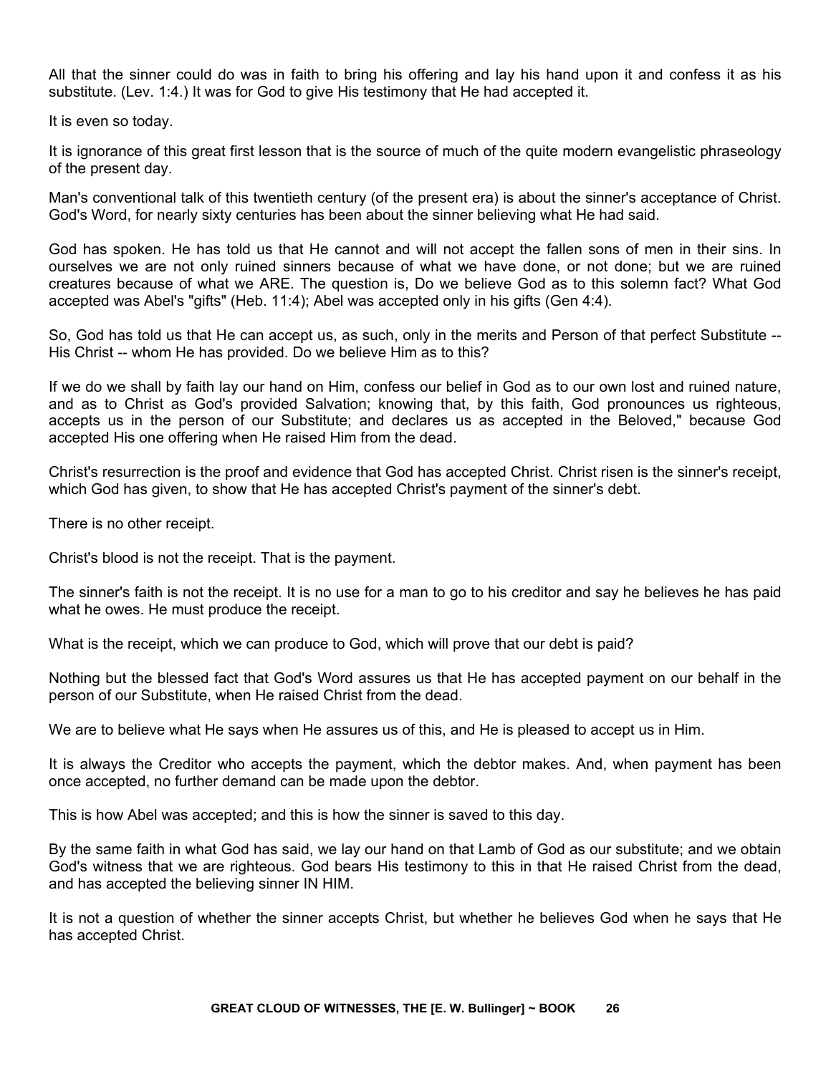All that the sinner could do was in faith to bring his offering and lay his hand upon it and confess it as his substitute. (Lev. 1:4.) It was for God to give His testimony that He had accepted it.

It is even so today.

It is ignorance of this great first lesson that is the source of much of the quite modern evangelistic phraseology of the present day.

Man's conventional talk of this twentieth century (of the present era) is about the sinner's acceptance of Christ. God's Word, for nearly sixty centuries has been about the sinner believing what He had said.

God has spoken. He has told us that He cannot and will not accept the fallen sons of men in their sins. In ourselves we are not only ruined sinners because of what we have done, or not done; but we are ruined creatures because of what we ARE. The question is, Do we believe God as to this solemn fact? What God accepted was Abel's "gifts" (Heb. 11:4); Abel was accepted only in his gifts (Gen 4:4).

So, God has told us that He can accept us, as such, only in the merits and Person of that perfect Substitute -- His Christ -- whom He has provided. Do we believe Him as to this?

If we do we shall by faith lay our hand on Him, confess our belief in God as to our own lost and ruined nature, and as to Christ as God's provided Salvation; knowing that, by this faith, God pronounces us righteous, accepts us in the person of our Substitute; and declares us as accepted in the Beloved," because God accepted His one offering when He raised Him from the dead.

Christ's resurrection is the proof and evidence that God has accepted Christ. Christ risen is the sinner's receipt, which God has given, to show that He has accepted Christ's payment of the sinner's debt.

There is no other receipt.

Christ's blood is not the receipt. That is the payment.

The sinner's faith is not the receipt. It is no use for a man to go to his creditor and say he believes he has paid what he owes. He must produce the receipt.

What is the receipt, which we can produce to God, which will prove that our debt is paid?

Nothing but the blessed fact that God's Word assures us that He has accepted payment on our behalf in the person of our Substitute, when He raised Christ from the dead.

We are to believe what He says when He assures us of this, and He is pleased to accept us in Him.

It is always the Creditor who accepts the payment, which the debtor makes. And, when payment has been once accepted, no further demand can be made upon the debtor.

This is how Abel was accepted; and this is how the sinner is saved to this day.

By the same faith in what God has said, we lay our hand on that Lamb of God as our substitute; and we obtain God's witness that we are righteous. God bears His testimony to this in that He raised Christ from the dead, and has accepted the believing sinner IN HIM.

It is not a question of whether the sinner accepts Christ, but whether he believes God when he says that He has accepted Christ.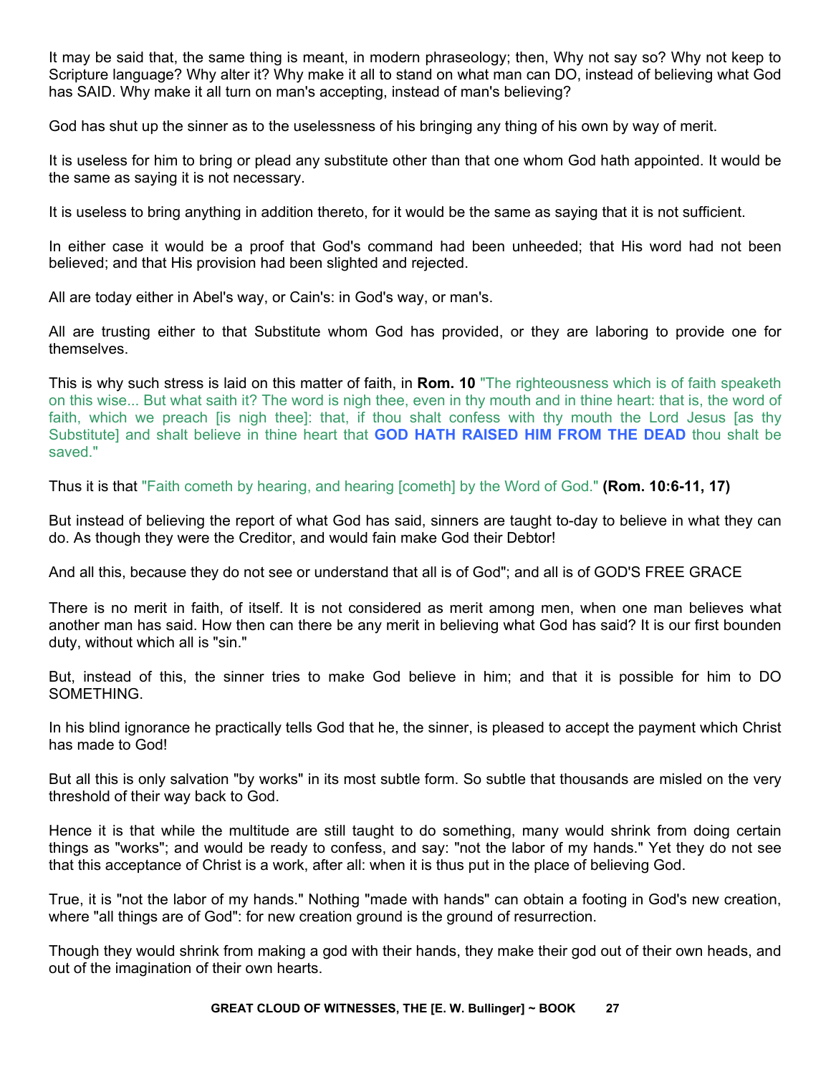It may be said that, the same thing is meant, in modern phraseology; then, Why not say so? Why not keep to Scripture language? Why alter it? Why make it all to stand on what man can DO, instead of believing what God has SAID. Why make it all turn on man's accepting, instead of man's believing?

God has shut up the sinner as to the uselessness of his bringing any thing of his own by way of merit.

It is useless for him to bring or plead any substitute other than that one whom God hath appointed. It would be the same as saying it is not necessary.

It is useless to bring anything in addition thereto, for it would be the same as saying that it is not sufficient.

In either case it would be a proof that God's command had been unheeded; that His word had not been believed; and that His provision had been slighted and rejected.

All are today either in Abel's way, or Cain's: in God's way, or man's.

All are trusting either to that Substitute whom God has provided, or they are laboring to provide one for themselves.

This is why such stress is laid on this matter of faith, in **Rom. 10** "The righteousness which is of faith speaketh on this wise... But what saith it? The word is nigh thee, even in thy mouth and in thine heart: that is, the word of faith, which we preach [is nigh thee]: that, if thou shalt confess with thy mouth the Lord Jesus [as thy Substitute] and shalt believe in thine heart that **GOD HATH RAISED HIM FROM THE DEAD** thou shalt be saved."

Thus it is that "Faith cometh by hearing, and hearing [cometh] by the Word of God." **(Rom. 10:6-11, 17)**

But instead of believing the report of what God has said, sinners are taught to-day to believe in what they can do. As though they were the Creditor, and would fain make God their Debtor!

And all this, because they do not see or understand that all is of God"; and all is of GOD'S FREE GRACE

There is no merit in faith, of itself. It is not considered as merit among men, when one man believes what another man has said. How then can there be any merit in believing what God has said? It is our first bounden duty, without which all is "sin."

But, instead of this, the sinner tries to make God believe in him; and that it is possible for him to DO SOMETHING.

In his blind ignorance he practically tells God that he, the sinner, is pleased to accept the payment which Christ has made to God!

But all this is only salvation "by works" in its most subtle form. So subtle that thousands are misled on the very threshold of their way back to God.

Hence it is that while the multitude are still taught to do something, many would shrink from doing certain things as "works"; and would be ready to confess, and say: "not the labor of my hands." Yet they do not see that this acceptance of Christ is a work, after all: when it is thus put in the place of believing God.

True, it is "not the labor of my hands." Nothing "made with hands" can obtain a footing in God's new creation, where "all things are of God": for new creation ground is the ground of resurrection.

Though they would shrink from making a god with their hands, they make their god out of their own heads, and out of the imagination of their own hearts.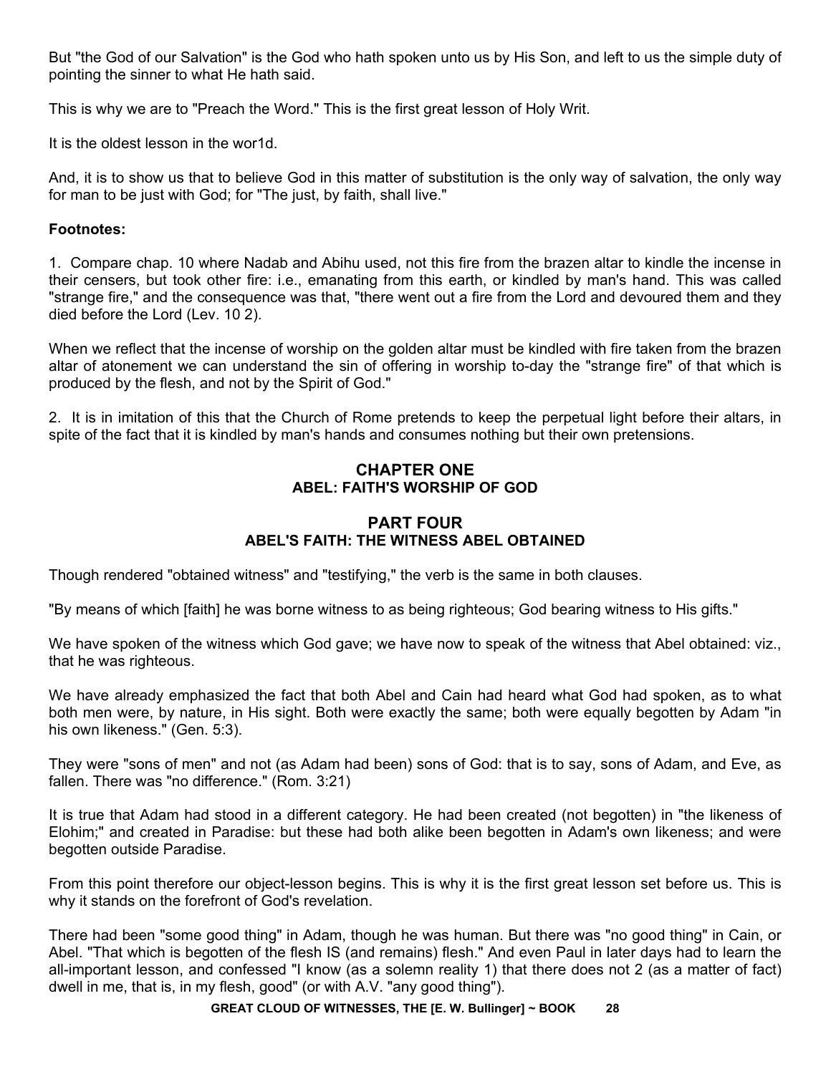But "the God of our Salvation" is the God who hath spoken unto us by His Son, and left to us the simple duty of pointing the sinner to what He hath said.

This is why we are to "Preach the Word." This is the first great lesson of Holy Writ.

It is the oldest lesson in the wor1d.

And, it is to show us that to believe God in this matter of substitution is the only way of salvation, the only way for man to be just with God; for "The just, by faith, shall live."

## **Footnotes:**

1. Compare chap. 10 where Nadab and Abihu used, not this fire from the brazen altar to kindle the incense in their censers, but took other fire: i.e., emanating from this earth, or kindled by man's hand. This was called "strange fire," and the consequence was that, "there went out a fire from the Lord and devoured them and they died before the Lord (Lev. 10 2).

When we reflect that the incense of worship on the golden altar must be kindled with fire taken from the brazen altar of atonement we can understand the sin of offering in worship to-day the "strange fire" of that which is produced by the flesh, and not by the Spirit of God."

2. It is in imitation of this that the Church of Rome pretends to keep the perpetual light before their altars, in spite of the fact that it is kindled by man's hands and consumes nothing but their own pretensions.

# **CHAPTER ONE ABEL: FAITH'S WORSHIP OF GOD**

# **PART FOUR ABEL'S FAITH: THE WITNESS ABEL OBTAINED**

Though rendered "obtained witness" and "testifying," the verb is the same in both clauses.

"By means of which [faith] he was borne witness to as being righteous; God bearing witness to His gifts."

We have spoken of the witness which God gave; we have now to speak of the witness that Abel obtained: viz., that he was righteous.

We have already emphasized the fact that both Abel and Cain had heard what God had spoken, as to what both men were, by nature, in His sight. Both were exactly the same; both were equally begotten by Adam "in his own likeness." (Gen. 5:3).

They were "sons of men" and not (as Adam had been) sons of God: that is to say, sons of Adam, and Eve, as fallen. There was "no difference." (Rom. 3:21)

It is true that Adam had stood in a different category. He had been created (not begotten) in "the likeness of Elohim;" and created in Paradise: but these had both alike been begotten in Adam's own likeness; and were begotten outside Paradise.

From this point therefore our object-lesson begins. This is why it is the first great lesson set before us. This is why it stands on the forefront of God's revelation.

There had been "some good thing" in Adam, though he was human. But there was "no good thing" in Cain, or Abel. "That which is begotten of the flesh IS (and remains) flesh." And even Paul in later days had to learn the all-important lesson, and confessed "I know (as a solemn reality 1) that there does not 2 (as a matter of fact) dwell in me, that is, in my flesh, good" (or with A.V. "any good thing").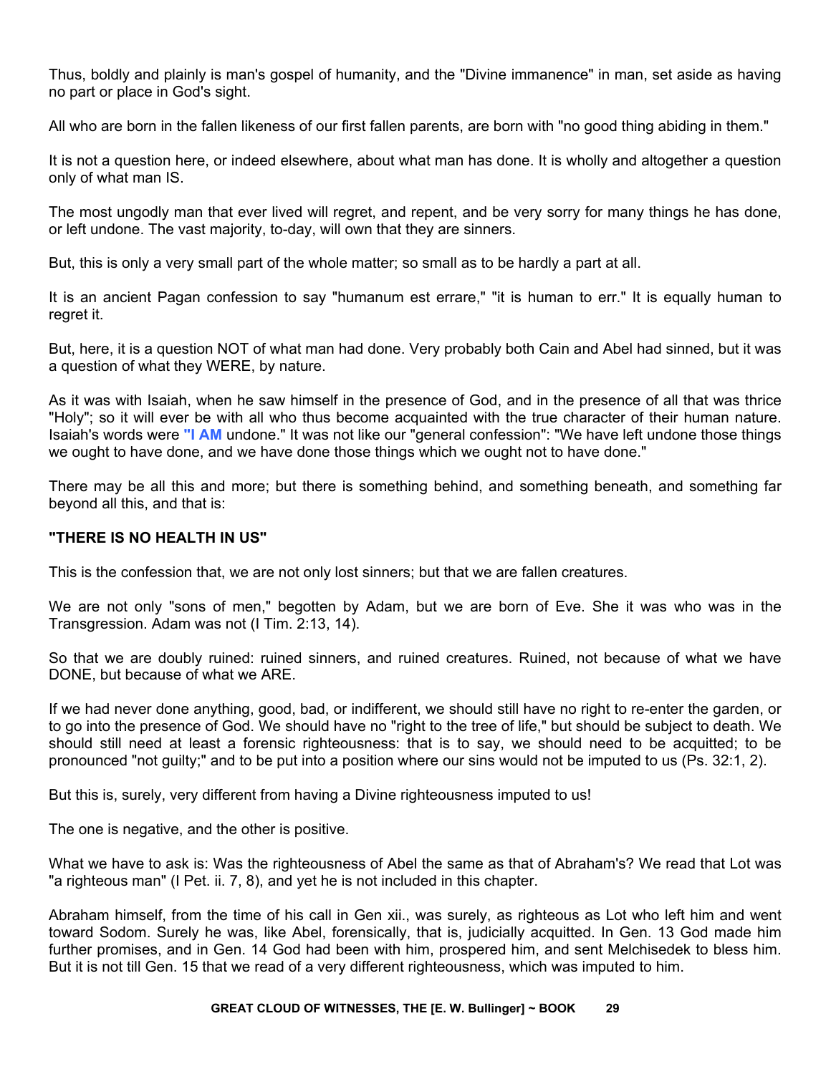Thus, boldly and plainly is man's gospel of humanity, and the "Divine immanence" in man, set aside as having no part or place in God's sight.

All who are born in the fallen likeness of our first fallen parents, are born with "no good thing abiding in them."

It is not a question here, or indeed elsewhere, about what man has done. It is wholly and altogether a question only of what man IS.

The most ungodly man that ever lived will regret, and repent, and be very sorry for many things he has done, or left undone. The vast majority, to-day, will own that they are sinners.

But, this is only a very small part of the whole matter; so small as to be hardly a part at all.

It is an ancient Pagan confession to say "humanum est errare," "it is human to err." It is equally human to regret it.

But, here, it is a question NOT of what man had done. Very probably both Cain and Abel had sinned, but it was a question of what they WERE, by nature.

As it was with Isaiah, when he saw himself in the presence of God, and in the presence of all that was thrice "Holy"; so it will ever be with all who thus become acquainted with the true character of their human nature. Isaiah's words were **"I AM** undone." It was not like our "general confession": "We have left undone those things we ought to have done, and we have done those things which we ought not to have done."

There may be all this and more; but there is something behind, and something beneath, and something far beyond all this, and that is:

#### **"THERE IS NO HEALTH IN US"**

This is the confession that, we are not only lost sinners; but that we are fallen creatures.

We are not only "sons of men," begotten by Adam, but we are born of Eve. She it was who was in the Transgression. Adam was not (I Tim. 2:13, 14).

So that we are doubly ruined: ruined sinners, and ruined creatures. Ruined, not because of what we have DONE, but because of what we ARE.

If we had never done anything, good, bad, or indifferent, we should still have no right to re-enter the garden, or to go into the presence of God. We should have no "right to the tree of life," but should be subject to death. We should still need at least a forensic righteousness: that is to say, we should need to be acquitted; to be pronounced "not guilty;" and to be put into a position where our sins would not be imputed to us (Ps. 32:1, 2).

But this is, surely, very different from having a Divine righteousness imputed to us!

The one is negative, and the other is positive.

What we have to ask is: Was the righteousness of Abel the same as that of Abraham's? We read that Lot was "a righteous man" (I Pet. ii. 7, 8), and yet he is not included in this chapter.

Abraham himself, from the time of his call in Gen xii., was surely, as righteous as Lot who left him and went toward Sodom. Surely he was, like Abel, forensically, that is, judicially acquitted. In Gen. 13 God made him further promises, and in Gen. 14 God had been with him, prospered him, and sent Melchisedek to bless him. But it is not till Gen. 15 that we read of a very different righteousness, which was imputed to him.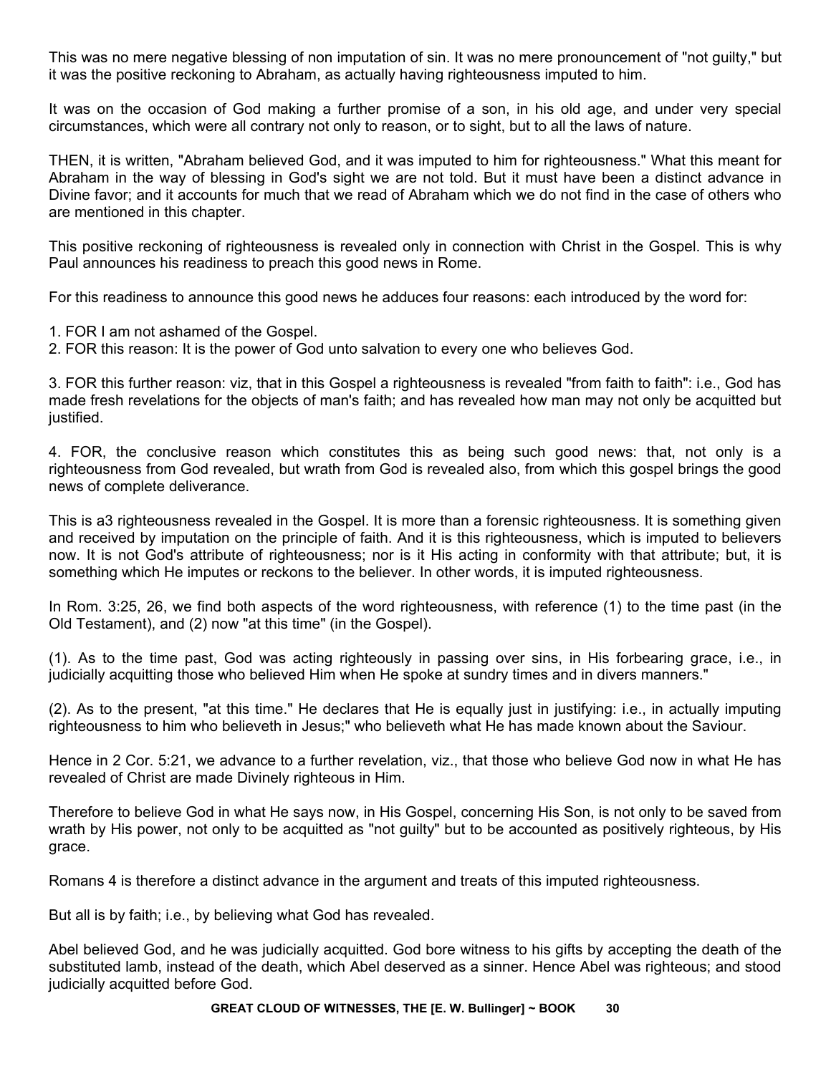This was no mere negative blessing of non imputation of sin. It was no mere pronouncement of "not guilty," but it was the positive reckoning to Abraham, as actually having righteousness imputed to him.

It was on the occasion of God making a further promise of a son, in his old age, and under very special circumstances, which were all contrary not only to reason, or to sight, but to all the laws of nature.

THEN, it is written, "Abraham believed God, and it was imputed to him for righteousness." What this meant for Abraham in the way of blessing in God's sight we are not told. But it must have been a distinct advance in Divine favor; and it accounts for much that we read of Abraham which we do not find in the case of others who are mentioned in this chapter.

This positive reckoning of righteousness is revealed only in connection with Christ in the Gospel. This is why Paul announces his readiness to preach this good news in Rome.

For this readiness to announce this good news he adduces four reasons: each introduced by the word for:

1. FOR I am not ashamed of the Gospel.

2. FOR this reason: It is the power of God unto salvation to every one who believes God.

3. FOR this further reason: viz, that in this Gospel a righteousness is revealed "from faith to faith": i.e., God has made fresh revelations for the objects of man's faith; and has revealed how man may not only be acquitted but justified.

4. FOR, the conclusive reason which constitutes this as being such good news: that, not only is a righteousness from God revealed, but wrath from God is revealed also, from which this gospel brings the good news of complete deliverance.

This is a3 righteousness revealed in the Gospel. It is more than a forensic righteousness. It is something given and received by imputation on the principle of faith. And it is this righteousness, which is imputed to believers now. It is not God's attribute of righteousness; nor is it His acting in conformity with that attribute; but, it is something which He imputes or reckons to the believer. In other words, it is imputed righteousness.

In Rom. 3:25, 26, we find both aspects of the word righteousness, with reference (1) to the time past (in the Old Testament), and (2) now "at this time" (in the Gospel).

(1). As to the time past, God was acting righteously in passing over sins, in His forbearing grace, i.e., in judicially acquitting those who believed Him when He spoke at sundry times and in divers manners."

(2). As to the present, "at this time." He declares that He is equally just in justifying: i.e., in actually imputing righteousness to him who believeth in Jesus;" who believeth what He has made known about the Saviour.

Hence in 2 Cor. 5:21, we advance to a further revelation, viz., that those who believe God now in what He has revealed of Christ are made Divinely righteous in Him.

Therefore to believe God in what He says now, in His Gospel, concerning His Son, is not only to be saved from wrath by His power, not only to be acquitted as "not guilty" but to be accounted as positively righteous, by His grace.

Romans 4 is therefore a distinct advance in the argument and treats of this imputed righteousness.

But all is by faith; i.e., by believing what God has revealed.

Abel believed God, and he was judicially acquitted. God bore witness to his gifts by accepting the death of the substituted lamb, instead of the death, which Abel deserved as a sinner. Hence Abel was righteous; and stood judicially acquitted before God.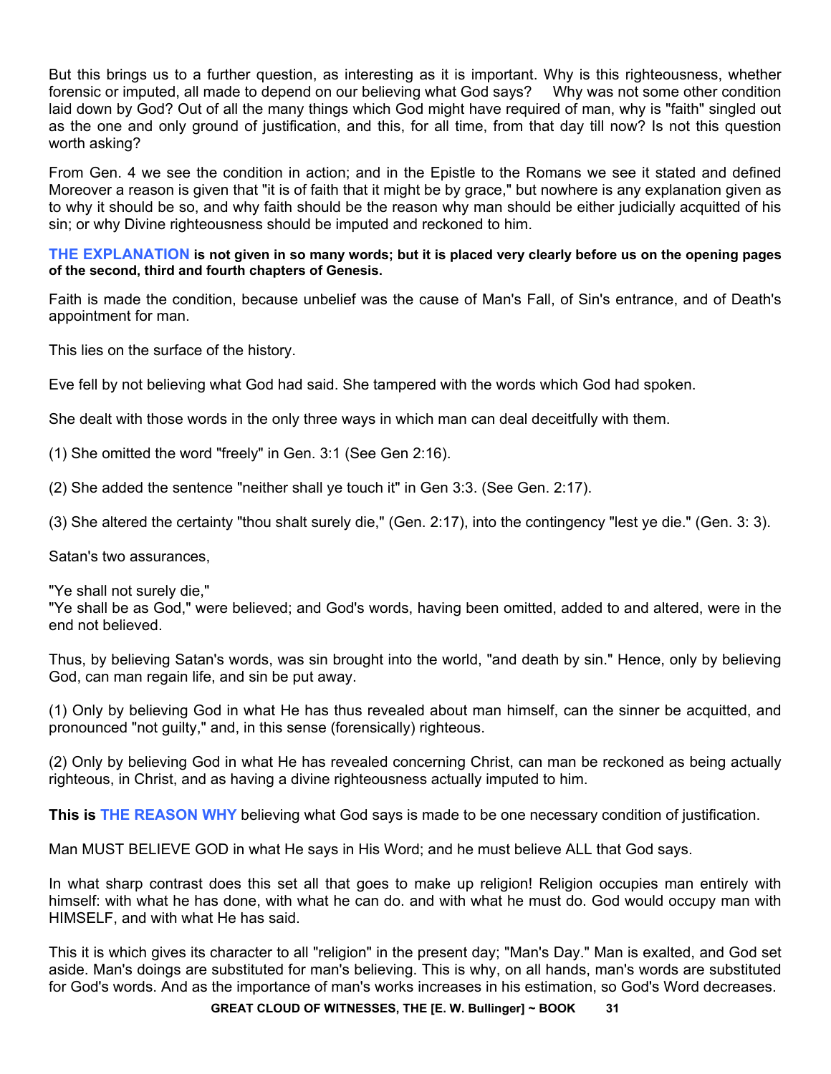But this brings us to a further question, as interesting as it is important. Why is this righteousness, whether forensic or imputed, all made to depend on our believing what God says? Why was not some other condition laid down by God? Out of all the many things which God might have required of man, why is "faith" singled out as the one and only ground of justification, and this, for all time, from that day till now? Is not this question worth asking?

From Gen. 4 we see the condition in action; and in the Epistle to the Romans we see it stated and defined Moreover a reason is given that "it is of faith that it might be by grace," but nowhere is any explanation given as to why it should be so, and why faith should be the reason why man should be either judicially acquitted of his sin; or why Divine righteousness should be imputed and reckoned to him.

**THE EXPLANATION is not given in so many words; but it is placed very clearly before us on the opening pages of the second, third and fourth chapters of Genesis.** 

Faith is made the condition, because unbelief was the cause of Man's Fall, of Sin's entrance, and of Death's appointment for man.

This lies on the surface of the history.

Eve fell by not believing what God had said. She tampered with the words which God had spoken.

She dealt with those words in the only three ways in which man can deal deceitfully with them.

(1) She omitted the word "freely" in Gen. 3:1 (See Gen 2:16).

(2) She added the sentence "neither shall ye touch it" in Gen 3:3. (See Gen. 2:17).

(3) She altered the certainty "thou shalt surely die," (Gen. 2:17), into the contingency "lest ye die." (Gen. 3: 3).

Satan's two assurances,

"Ye shall not surely die,"

"Ye shall be as God," were believed; and God's words, having been omitted, added to and altered, were in the end not believed.

Thus, by believing Satan's words, was sin brought into the world, "and death by sin." Hence, only by believing God, can man regain life, and sin be put away.

(1) Only by believing God in what He has thus revealed about man himself, can the sinner be acquitted, and pronounced "not guilty," and, in this sense (forensically) righteous.

(2) Only by believing God in what He has revealed concerning Christ, can man be reckoned as being actually righteous, in Christ, and as having a divine righteousness actually imputed to him.

**This is THE REASON WHY** believing what God says is made to be one necessary condition of justification.

Man MUST BELIEVE GOD in what He says in His Word; and he must believe ALL that God says.

In what sharp contrast does this set all that goes to make up religion! Religion occupies man entirely with himself: with what he has done, with what he can do. and with what he must do. God would occupy man with HIMSELF, and with what He has said.

This it is which gives its character to all "religion" in the present day; "Man's Day." Man is exalted, and God set aside. Man's doings are substituted for man's believing. This is why, on all hands, man's words are substituted for God's words. And as the importance of man's works increases in his estimation, so God's Word decreases.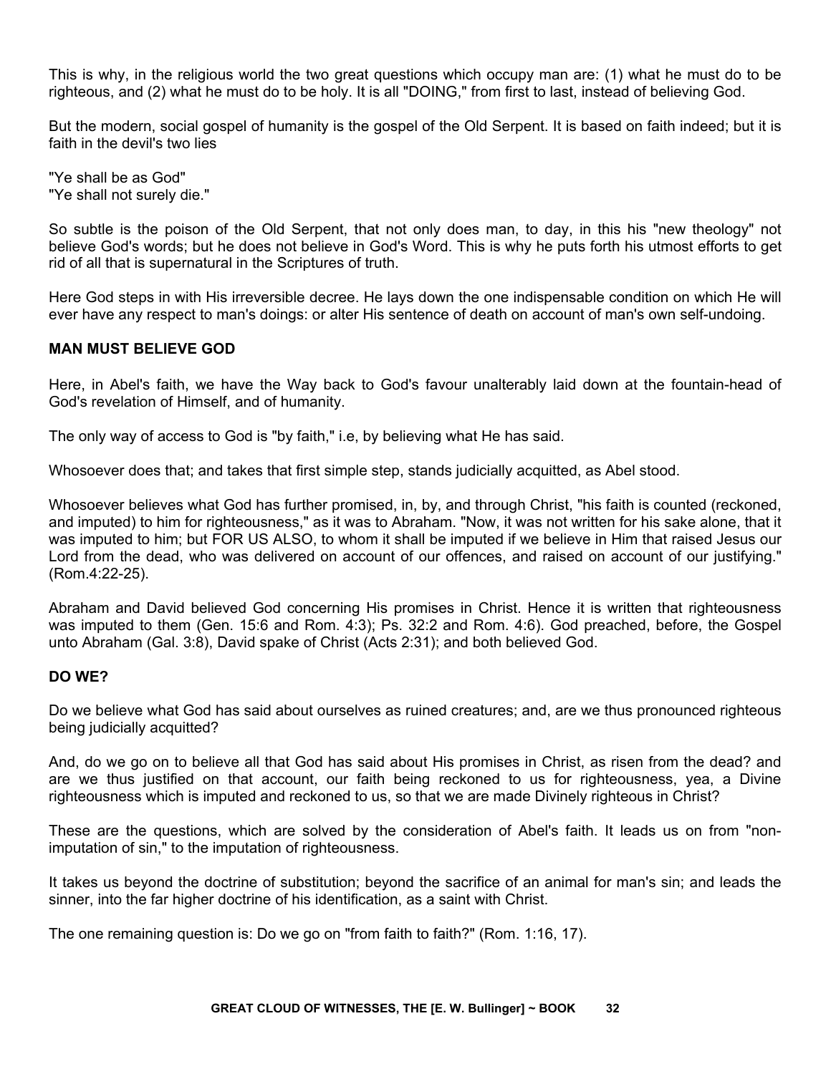This is why, in the religious world the two great questions which occupy man are: (1) what he must do to be righteous, and (2) what he must do to be holy. It is all "DOING," from first to last, instead of believing God.

But the modern, social gospel of humanity is the gospel of the Old Serpent. It is based on faith indeed; but it is faith in the devil's two lies

"Ye shall be as God" "Ye shall not surely die."

So subtle is the poison of the Old Serpent, that not only does man, to day, in this his "new theology" not believe God's words; but he does not believe in God's Word. This is why he puts forth his utmost efforts to get rid of all that is supernatural in the Scriptures of truth.

Here God steps in with His irreversible decree. He lays down the one indispensable condition on which He will ever have any respect to man's doings: or alter His sentence of death on account of man's own self-undoing.

## **MAN MUST BELIEVE GOD**

Here, in Abel's faith, we have the Way back to God's favour unalterably laid down at the fountain-head of God's revelation of Himself, and of humanity.

The only way of access to God is "by faith," i.e, by believing what He has said.

Whosoever does that; and takes that first simple step, stands judicially acquitted, as Abel stood.

Whosoever believes what God has further promised, in, by, and through Christ, "his faith is counted (reckoned, and imputed) to him for righteousness," as it was to Abraham. "Now, it was not written for his sake alone, that it was imputed to him; but FOR US ALSO, to whom it shall be imputed if we believe in Him that raised Jesus our Lord from the dead, who was delivered on account of our offences, and raised on account of our justifying." (Rom.4:22-25).

Abraham and David believed God concerning His promises in Christ. Hence it is written that righteousness was imputed to them (Gen. 15:6 and Rom. 4:3); Ps. 32:2 and Rom. 4:6). God preached, before, the Gospel unto Abraham (Gal. 3:8), David spake of Christ (Acts 2:31); and both believed God.

#### **DO WE?**

Do we believe what God has said about ourselves as ruined creatures; and, are we thus pronounced righteous being judicially acquitted?

And, do we go on to believe all that God has said about His promises in Christ, as risen from the dead? and are we thus justified on that account, our faith being reckoned to us for righteousness, yea, a Divine righteousness which is imputed and reckoned to us, so that we are made Divinely righteous in Christ?

These are the questions, which are solved by the consideration of Abel's faith. It leads us on from "nonimputation of sin," to the imputation of righteousness.

It takes us beyond the doctrine of substitution; beyond the sacrifice of an animal for man's sin; and leads the sinner, into the far higher doctrine of his identification, as a saint with Christ.

The one remaining question is: Do we go on "from faith to faith?" (Rom. 1:16, 17).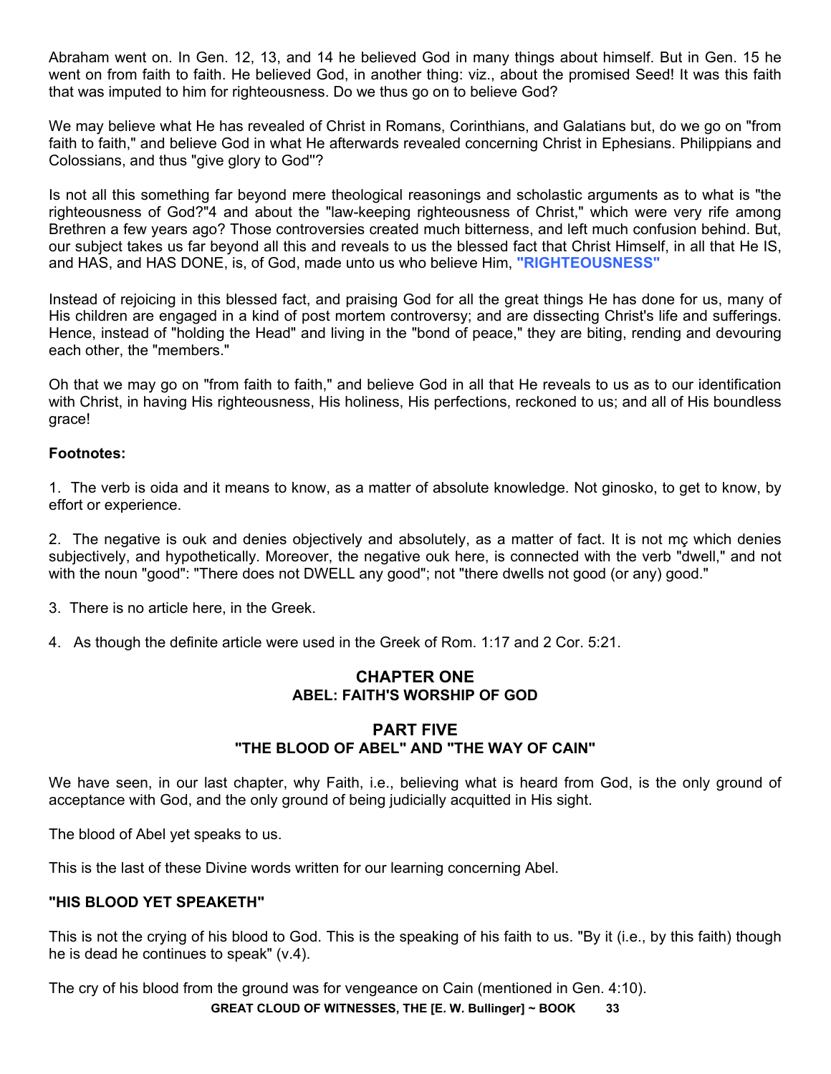Abraham went on. In Gen. 12, 13, and 14 he believed God in many things about himself. But in Gen. 15 he went on from faith to faith. He believed God, in another thing: viz., about the promised Seed! It was this faith that was imputed to him for righteousness. Do we thus go on to believe God?

We may believe what He has revealed of Christ in Romans, Corinthians, and Galatians but, do we go on "from faith to faith," and believe God in what He afterwards revealed concerning Christ in Ephesians. Philippians and Colossians, and thus "give glory to God"?

Is not all this something far beyond mere theological reasonings and scholastic arguments as to what is "the righteousness of God?"4 and about the "law-keeping righteousness of Christ," which were very rife among Brethren a few years ago? Those controversies created much bitterness, and left much confusion behind. But, our subject takes us far beyond all this and reveals to us the blessed fact that Christ Himself, in all that He IS, and HAS, and HAS DONE, is, of God, made unto us who believe Him, **"RIGHTEOUSNESS"**

Instead of rejoicing in this blessed fact, and praising God for all the great things He has done for us, many of His children are engaged in a kind of post mortem controversy; and are dissecting Christ's life and sufferings. Hence, instead of "holding the Head" and living in the "bond of peace," they are biting, rending and devouring each other, the "members."

Oh that we may go on "from faith to faith," and believe God in all that He reveals to us as to our identification with Christ, in having His righteousness, His holiness, His perfections, reckoned to us; and all of His boundless grace!

#### **Footnotes:**

1. The verb is oida and it means to know, as a matter of absolute knowledge. Not ginosko, to get to know, by effort or experience.

2. The negative is ouk and denies objectively and absolutely, as a matter of fact. It is not mç which denies subjectively, and hypothetically. Moreover, the negative ouk here, is connected with the verb "dwell," and not with the noun "good": "There does not DWELL any good"; not "there dwells not good (or any) good."

3. There is no article here, in the Greek.

4. As though the definite article were used in the Greek of Rom. 1:17 and 2 Cor. 5:21.

## **CHAPTER ONE ABEL: FAITH'S WORSHIP OF GOD**

# **PART FIVE "THE BLOOD OF ABEL" AND "THE WAY OF CAIN"**

We have seen, in our last chapter, why Faith, i.e., believing what is heard from God, is the only ground of acceptance with God, and the only ground of being judicially acquitted in His sight.

The blood of Abel yet speaks to us.

This is the last of these Divine words written for our learning concerning Abel.

## **"HIS BLOOD YET SPEAKETH"**

This is not the crying of his blood to God. This is the speaking of his faith to us. "By it (i.e., by this faith) though he is dead he continues to speak" (v.4).

**GREAT CLOUD OF WITNESSES, THE [E. W. Bullinger] ~ BOOK 33**  The cry of his blood from the ground was for vengeance on Cain (mentioned in Gen. 4:10).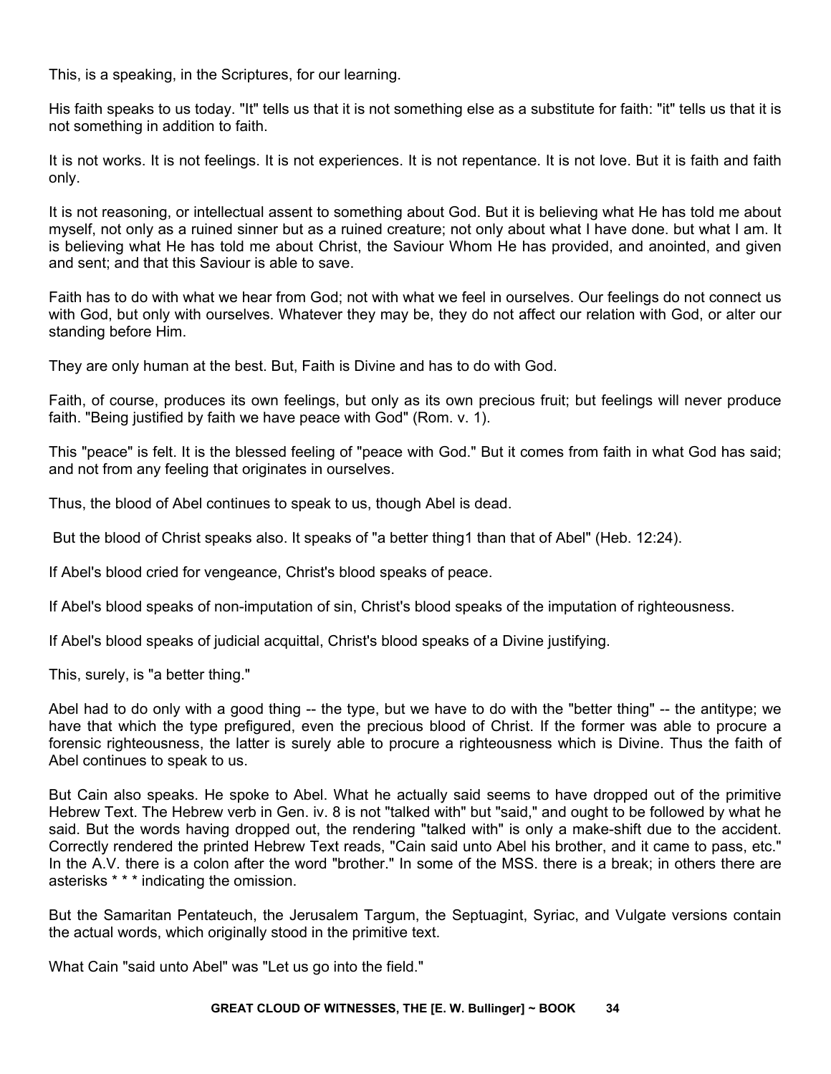This, is a speaking, in the Scriptures, for our learning.

His faith speaks to us today. "It" tells us that it is not something else as a substitute for faith: "it" tells us that it is not something in addition to faith.

It is not works. It is not feelings. It is not experiences. It is not repentance. It is not love. But it is faith and faith only.

It is not reasoning, or intellectual assent to something about God. But it is believing what He has told me about myself, not only as a ruined sinner but as a ruined creature; not only about what I have done. but what I am. It is believing what He has told me about Christ, the Saviour Whom He has provided, and anointed, and given and sent; and that this Saviour is able to save.

Faith has to do with what we hear from God; not with what we feel in ourselves. Our feelings do not connect us with God, but only with ourselves. Whatever they may be, they do not affect our relation with God, or alter our standing before Him.

They are only human at the best. But, Faith is Divine and has to do with God.

Faith, of course, produces its own feelings, but only as its own precious fruit; but feelings will never produce faith. "Being justified by faith we have peace with God" (Rom. v. 1).

This "peace" is felt. It is the blessed feeling of "peace with God." But it comes from faith in what God has said; and not from any feeling that originates in ourselves.

Thus, the blood of Abel continues to speak to us, though Abel is dead.

But the blood of Christ speaks also. It speaks of "a better thing1 than that of Abel" (Heb. 12:24).

If Abel's blood cried for vengeance, Christ's blood speaks of peace.

If Abel's blood speaks of non-imputation of sin, Christ's blood speaks of the imputation of righteousness.

If Abel's blood speaks of judicial acquittal, Christ's blood speaks of a Divine justifying.

This, surely, is "a better thing."

Abel had to do only with a good thing -- the type, but we have to do with the "better thing" -- the antitype; we have that which the type prefigured, even the precious blood of Christ. If the former was able to procure a forensic righteousness, the latter is surely able to procure a righteousness which is Divine. Thus the faith of Abel continues to speak to us.

But Cain also speaks. He spoke to Abel. What he actually said seems to have dropped out of the primitive Hebrew Text. The Hebrew verb in Gen. iv. 8 is not "talked with" but "said," and ought to be followed by what he said. But the words having dropped out, the rendering "talked with" is only a make-shift due to the accident. Correctly rendered the printed Hebrew Text reads, "Cain said unto Abel his brother, and it came to pass, etc." In the A.V. there is a colon after the word "brother." In some of the MSS. there is a break; in others there are asterisks \* \* \* indicating the omission.

But the Samaritan Pentateuch, the Jerusalem Targum, the Septuagint, Syriac, and Vulgate versions contain the actual words, which originally stood in the primitive text.

What Cain "said unto Abel" was "Let us go into the field."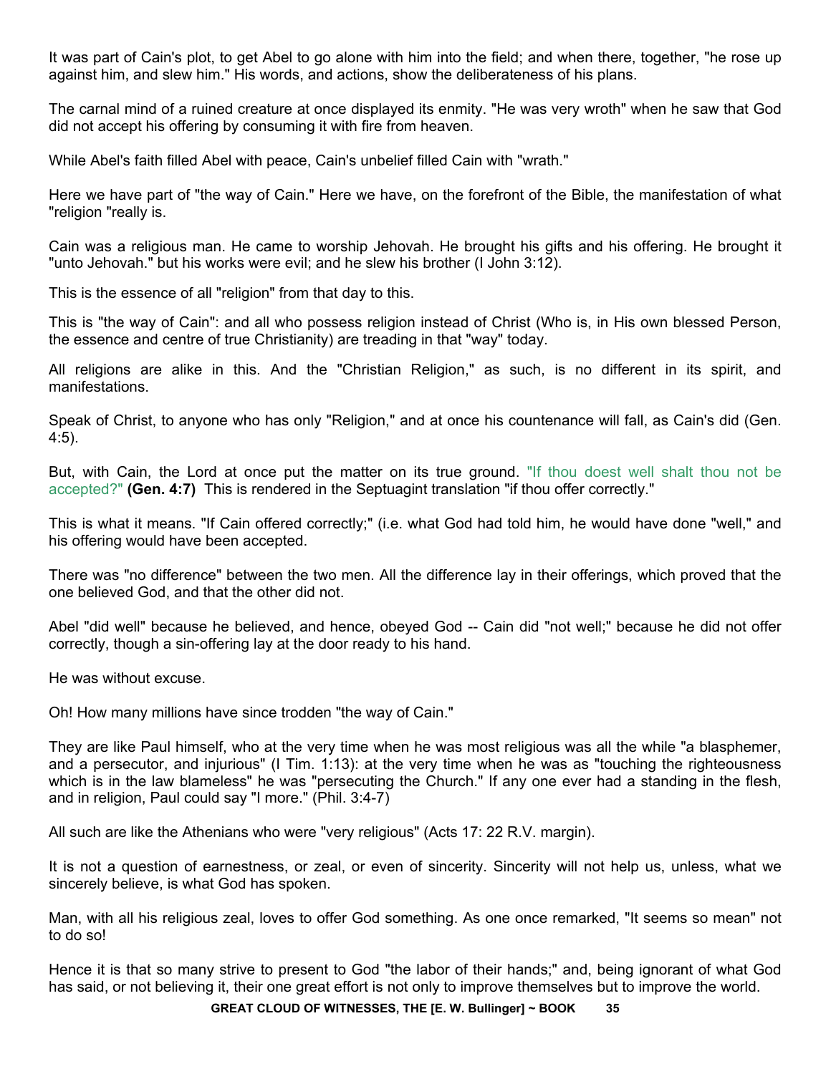It was part of Cain's plot, to get Abel to go alone with him into the field; and when there, together, "he rose up against him, and slew him." His words, and actions, show the deliberateness of his plans.

The carnal mind of a ruined creature at once displayed its enmity. "He was very wroth" when he saw that God did not accept his offering by consuming it with fire from heaven.

While Abel's faith filled Abel with peace, Cain's unbelief filled Cain with "wrath."

Here we have part of "the way of Cain." Here we have, on the forefront of the Bible, the manifestation of what "religion "really is.

Cain was a religious man. He came to worship Jehovah. He brought his gifts and his offering. He brought it "unto Jehovah." but his works were evil; and he slew his brother (I John 3:12).

This is the essence of all "religion" from that day to this.

This is "the way of Cain": and all who possess religion instead of Christ (Who is, in His own blessed Person, the essence and centre of true Christianity) are treading in that "way" today.

All religions are alike in this. And the "Christian Religion," as such, is no different in its spirit, and manifestations.

Speak of Christ, to anyone who has only "Religion," and at once his countenance will fall, as Cain's did (Gen. 4:5).

But, with Cain, the Lord at once put the matter on its true ground. "If thou doest well shalt thou not be accepted?" **(Gen. 4:7)** This is rendered in the Septuagint translation "if thou offer correctly."

This is what it means. "If Cain offered correctly;" (i.e. what God had told him, he would have done "well," and his offering would have been accepted.

There was "no difference" between the two men. All the difference lay in their offerings, which proved that the one believed God, and that the other did not.

Abel "did well" because he believed, and hence, obeyed God -- Cain did "not well;" because he did not offer correctly, though a sin-offering lay at the door ready to his hand.

He was without excuse.

Oh! How many millions have since trodden "the way of Cain."

They are like Paul himself, who at the very time when he was most religious was all the while "a blasphemer, and a persecutor, and injurious" (I Tim. 1:13): at the very time when he was as "touching the righteousness which is in the law blameless" he was "persecuting the Church." If any one ever had a standing in the flesh, and in religion, Paul could say "I more." (Phil. 3:4-7)

All such are like the Athenians who were "very religious" (Acts 17: 22 R.V. margin).

It is not a question of earnestness, or zeal, or even of sincerity. Sincerity will not help us, unless, what we sincerely believe, is what God has spoken.

Man, with all his religious zeal, loves to offer God something. As one once remarked, "It seems so mean" not to do so!

Hence it is that so many strive to present to God "the labor of their hands;" and, being ignorant of what God has said, or not believing it, their one great effort is not only to improve themselves but to improve the world.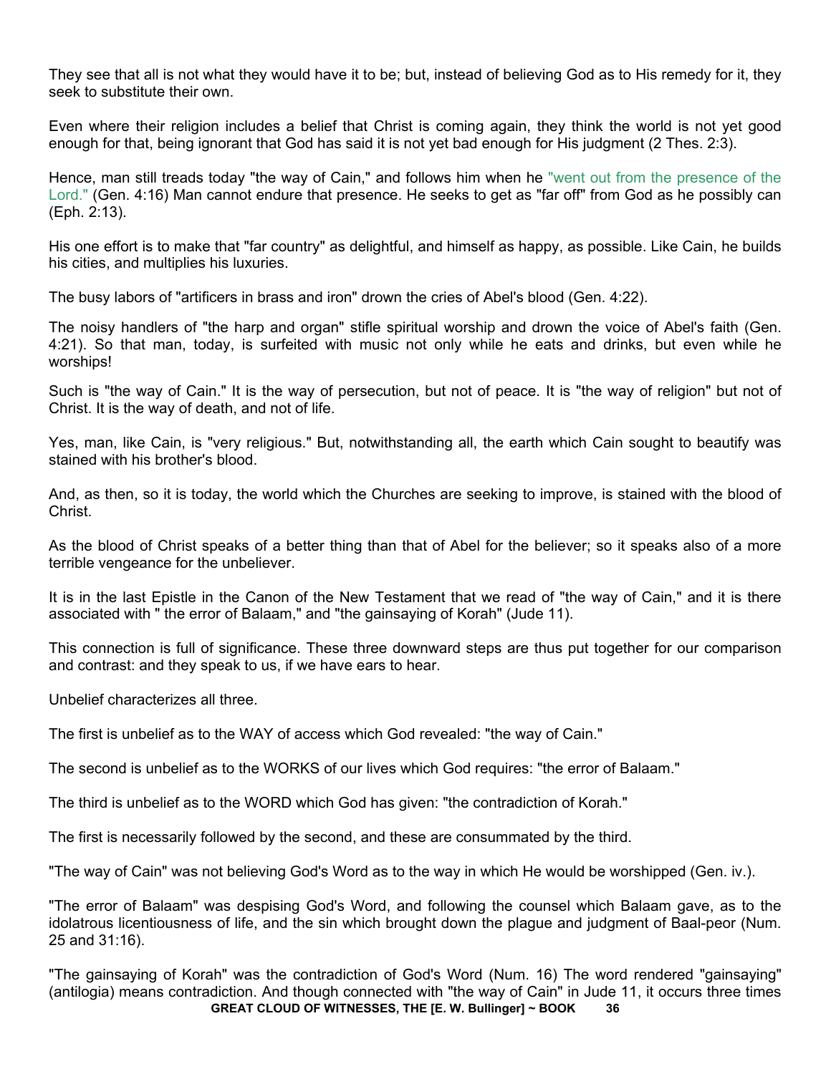They see that all is not what they would have it to be; but, instead of believing God as to His remedy for it, they seek to substitute their own.

Even where their religion includes a belief that Christ is coming again, they think the world is not yet good enough for that, being ignorant that God has said it is not yet bad enough for His judgment (2 Thes. 2:3).

Hence, man still treads today "the way of Cain," and follows him when he "went out from the presence of the Lord." (Gen. 4:16) Man cannot endure that presence. He seeks to get as "far off" from God as he possibly can (Eph. 2:13).

His one effort is to make that "far country" as delightful, and himself as happy, as possible. Like Cain, he builds his cities, and multiplies his luxuries.

The busy labors of "artificers in brass and iron" drown the cries of Abel's blood (Gen. 4:22).

The noisy handlers of "the harp and organ" stifle spiritual worship and drown the voice of Abel's faith (Gen. 4:21). So that man, today, is surfeited with music not only while he eats and drinks, but even while he worships!

Such is "the way of Cain." It is the way of persecution, but not of peace. It is "the way of religion" but not of Christ. It is the way of death, and not of life.

Yes, man, like Cain, is "very religious." But, notwithstanding all, the earth which Cain sought to beautify was stained with his brother's blood.

And, as then, so it is today, the world which the Churches are seeking to improve, is stained with the blood of Christ.

As the blood of Christ speaks of a better thing than that of Abel for the believer; so it speaks also of a more terrible vengeance for the unbeliever.

It is in the last Epistle in the Canon of the New Testament that we read of "the way of Cain," and it is there associated with " the error of Balaam," and "the gainsaying of Korah" (Jude 11).

This connection is full of significance. These three downward steps are thus put together for our comparison and contrast: and they speak to us, if we have ears to hear.

Unbelief characterizes all three.

The first is unbelief as to the WAY of access which God revealed: "the way of Cain."

The second is unbelief as to the WORKS of our lives which God requires: "the error of Balaam."

The third is unbelief as to the WORD which God has given: "the contradiction of Korah."

The first is necessarily followed by the second, and these are consummated by the third.

"The way of Cain" was not believing God's Word as to the way in which He would be worshipped (Gen. iv.).

"The error of Balaam" was despising God's Word, and following the counsel which Balaam gave, as to the idolatrous licentiousness of life, and the sin which brought down the plague and judgment of Baal-peor (Num. 25 and 31:16).

**GREAT CLOUD OF WITNESSES, THE [E. W. Bullinger] ~ BOOK 36**  "The gainsaying of Korah" was the contradiction of God's Word (Num. 16) The word rendered "gainsaying" (antilogia) means contradiction. And though connected with "the way of Cain" in Jude 11, it occurs three times